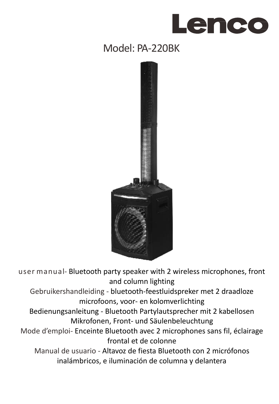# Lenco

# Model: PA-220BK



user manual- Bluetooth party speaker with 2 wireless microphones, front and column lighting

Gebruikershandleiding - bluetooth-feestluidspreker met 2 draadloze microfoons, voor- en kolomverlichting

Bedienungsanleitung - Bluetooth Partylautsprecher mit 2 kabellosen Mikrofonen, Front- und Säulenbeleuchtung

Mode d'emploi- Enceinte Bluetooth avec 2 microphones sans fil, éclairage frontal et de colonne

Manual de usuario - Altavoz de fiesta Bluetooth con 2 micrófonos inalámbricos, e iluminación de columna y delantera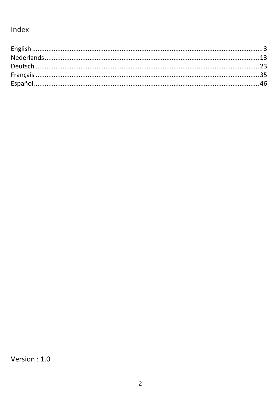# Index

Version: 1.0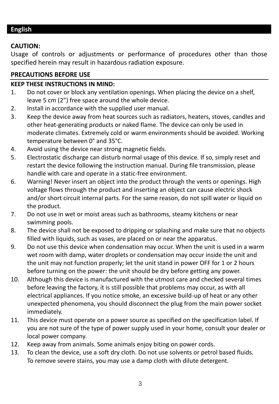### <span id="page-2-0"></span>**English**

### **CAUTION:**

Usage of controls or adjustments or performance of procedures other than those specified herein may result in hazardous radiation exposure.

### **PRECAUTIONS BEFORE USE**

### **KEEP THESE INSTRUCTIONS IN MIND:**

- 1. Do not cover or block any ventilation openings. When placing the device on a shelf, leave 5 cm (2") free space around the whole device.
- 2. Install in accordance with the supplied user manual.
- 3. Keep the device away from heat sources such as radiators, heaters, stoves, candles and other heat-generating products or naked flame. The device can only be used in moderate climates. Extremely cold or warm environments should be avoided. Working temperature between 0° and 35°C.
- 4. Avoid using the device near strong magnetic fields.
- 5. Electrostatic discharge can disturb normal usage of this device. If so, simply reset and restart the device following the instruction manual. During file transmission, please handle with care and operate in a static-free environment.
- 6. Warning! Never insert an object into the product through the vents or openings. High voltage flows through the product and inserting an object can cause electric shock and/or short circuit internal parts. For the same reason, do not spill water or liquid on the product.
- 7. Do not use in wet or moist areas such as bathrooms, steamy kitchens or near swimming pools.
- 8. The device shall not be exposed to dripping or splashing and make sure that no objects filled with liquids, such as vases, are placed on or near the apparatus.
- 9. Do not use this device when condensation may occur. When the unit is used in a warm wet room with damp, water droplets or condensation may occur inside the unit and the unit may not function properly; let the unit stand in power OFF for 1 or 2 hours before turning on the power: the unit should be dry before getting any power.
- 10. Although this device is manufactured with the utmost care and checked several times before leaving the factory, it is still possible that problems may occur, as with all electrical appliances. If you notice smoke, an excessive build-up of heat or any other unexpected phenomena, you should disconnect the plug from the main power socket immediately.
- 11. This device must operate on a power source as specified on the specification label. If you are not sure of the type of power supply used in your home, consult your dealer or local power company.
- 12. Keep away from animals. Some animals enjoy biting on power cords.
- 13. To clean the device, use a soft dry cloth. Do not use solvents or petrol based fluids. To remove severe stains, you may use a damp cloth with dilute detergent.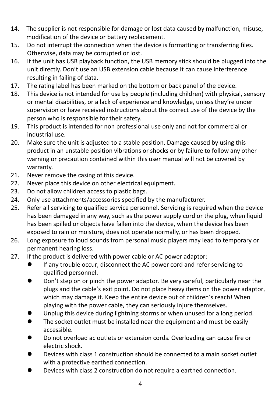- 14. The supplier is not responsible for damage or lost data caused by malfunction, misuse, modification of the device or battery replacement.
- 15. Do not interrupt the connection when the device is formatting or transferring files. Otherwise, data may be corrupted or lost.
- 16. If the unit has USB playback function, the USB memory stick should be plugged into the unit directly. Don't use an USB extension cable because it can cause interference resulting in failing of data.
- 17. The rating label has been marked on the bottom or back panel of the device.
- 18. This device is not intended for use by people (including children) with physical, sensory or mental disabilities, or a lack of experience and knowledge, unless they're under supervision or have received instructions about the correct use of the device by the person who is responsible for their safety.
- 19. This product is intended for non professional use only and not for commercial or industrial use.
- 20. Make sure the unit is adjusted to a stable position. Damage caused by using this product in an unstable position vibrations or shocks or by failure to follow any other warning or precaution contained within this user manual will not be covered by warranty.
- 21. Never remove the casing of this device.<br>22. Never place this device on other electric
- Never place this device on other electrical equipment.
- 23. Do not allow children access to plastic bags.
- 24. Only use attachments/accessories specified by the manufacturer.
- 25. Refer all servicing to qualified service personnel. Servicing is required when the device has been damaged in any way, such as the power supply cord or the plug, when liquid has been spilled or objects have fallen into the device, when the device has been exposed to rain or moisture, does not operate normally, or has been dropped.
- 26. Long exposure to loud sounds from personal music players may lead to temporary or permanent hearing loss.
- 27. If the product is delivered with power cable or AC power adaptor:
	- If any trouble occur, disconnect the AC power cord and refer servicing to qualified personnel.
	- Don't step on or pinch the power adaptor. Be very careful, particularly near the plugs and the cable's exit point. Do not place heavy items on the power adaptor, which may damage it. Keep the entire device out of children's reach! When playing with the power cable, they can seriously injure themselves.
	- Unplug this device during lightning storms or when unused for a long period.
	- The socket outlet must be installed near the equipment and must be easily accessible.
	- Do not overload ac outlets or extension cords. Overloading can cause fire or electric shock.
	- ⚫ Devices with class 1 construction should be connected to a main socket outlet with a protective earthed connection.
	- ⚫ Devices with class 2 construction do not require a earthed connection.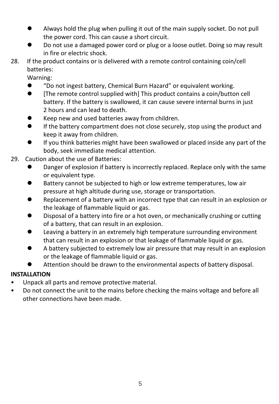- ⚫ Always hold the plug when pulling it out of the main supply socket. Do not pull the power cord. This can cause a short circuit.
- ⚫ Do not use a damaged power cord or plug or a loose outlet. Doing so may result in fire or electric shock.
- 28. If the product contains or is delivered with a remote control containing coin/cell batteries:

Warning:

- "Do not ingest battery, Chemical Burn Hazard" or equivalent working.
- Frimust Framote control supplied with] This product contains a coin/button cell battery. If the battery is swallowed, it can cause severe internal burns in just 2 hours and can lead to death.
- ⚫ Keep new and used batteries away from children.
- ⚫ If the battery compartment does not close securely, stop using the product and keep it away from children.
- If you think batteries might have been swallowed or placed inside any part of the body, seek immediate medical attention.
- 29. Caution about the use of Batteries:
	- ⚫ Danger of explosion if battery is incorrectly replaced. Replace only with the same or equivalent type.
	- Battery cannot be subjected to high or low extreme temperatures, low air pressure at high altitude during use, storage or transportation.
	- Replacement of a battery with an incorrect type that can result in an explosion or the leakage of flammable liquid or gas.
	- Disposal of a battery into fire or a hot oven, or mechanically crushing or cutting of a battery, that can result in an explosion.
	- Leaving a battery in an extremely high temperature surrounding environment that can result in an explosion or that leakage of flammable liquid or gas.
	- ⚫ A battery subjected to extremely low air pressure that may result in an explosion or the leakage of flammable liquid or gas.
	- ⚫ Attention should be drawn to the environmental aspects of battery disposal.

### **INSTALLATION**

- Unpack all parts and remove protective material.
- Do not connect the unit to the mains before checking the mains voltage and before all other connections have been made.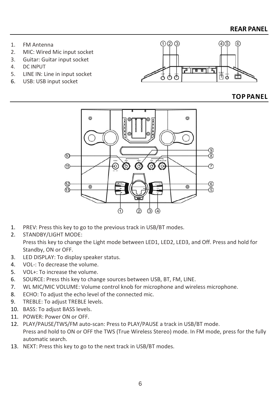- 1. FM Antenna
- 2. MIC: Wired Mic input socket
- 3. Guitar: Guitar input socket<br>4. DC INPUT
- DC INPUT
- 5. LINE IN: Line in input socket
- 6. USB: USB input socket



### **TOP PANEL**



- 1. PREV: Press this key to go to the previous track in USB/BT modes.
- 2. STANDBY/LIGHT MODE:

Press this key to change the Light mode between LED1, LED2, LED3, and Off. Press and hold for Standby, ON or OFF.

- 3. LED DISPLAY: To display speaker status.
- 4. VOL-: To decrease the volume.
- 5. VOL+: To increase the volume.
- 6. SOURCE: Press this key to change sources between USB, BT, FM, LINE.
- 7. WL MIC/MIC VOLUME: Volume control knob for microphone and wireless microphone.
- 8. ECHO: To adjust the echo level of the connected mic.
- 9. TREBLE: To adjust TREBLE levels.
- 10. BASS: To adjust BASS levels.
- 11. POWER: Power ON or OFF.
- 12. PLAY/PAUSE/TWS/FM auto-scan: Press to PLAY/PAUSE a track in USB/BT mode. Press and hold to ON or OFF the TWS (True Wireless Stereo) mode. In FM mode, press for the fully automatic search.
- 13. NEXT: Press this key to go to the next track in USB/BT modes.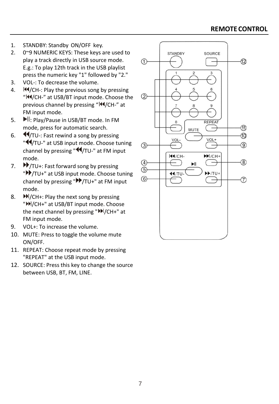- 1. STANDBY: Standby ON/OFF key.
- 2. 0~9 NUMERIC KEYS: These keys are used to play a track directly in USB source mode. E.g.: To play 12th track in the USB playlist press the numeric key "1" followed by "2."
- 3. VOL-: To decrease the volume.
- 4.  $\blacksquare$  /CH-: Play the previous song by pressing "|44/CH-" at USB/BT input mode. Choose the previous channel by pressing "IN/CH-" at FM input mode.
- 5.  $\blacksquare$ : Play/Pause in USB/BT mode. In FM mode, press for automatic search.
- 6.  $\blacktriangleleft$ /TU-: Fast rewind a song by pressing "  $\blacktriangleleft$ /TU-" at USB input mode. Choose tuning channel by pressing "44/TU-" at FM input mode.
- 7. **/**TU+: Fast forward song by pressing "<sup>></sup>/TU+" at USB input mode. Choose tuning channel by pressing " $V$ /TU+" at FM input mode.
- 8.  $M/CH+1$ : Play the next song by pressing "<sup>M</sup>/CH+" at USB/BT input mode. Choose the next channel by pressing " $M/CH+$ " at FM input mode.
- 9. VOL+: To increase the volume.
- 10. MUTE: Press to toggle the volume mute ON/OFF.
- 11. REPEAT: Choose repeat mode by pressing "REPEAT" at the USB input mode.
- 12. SOURCE: Press this key to change the source between USB, BT, FM, LINE.

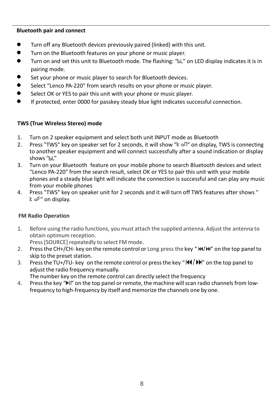### **Bluetooth pair and connect**

- ⚫ Turn off any Bluetooth devices previously paired (linked) with this unit.
- ⚫ Turn on the Bluetooth features on your phone or music player.
- Turn on and set this unit to Bluetooth mode. The flashing: "bL" on LED display indicates it is in pairing mode.
- Set your phone or music player to search for Bluetooth devices.
- Select "Lenco PA-220" from search results on your phone or music player.
- Select OK or YES to pair this unit with your phone or music player.
- ⚫ If protected, enter 0000 for passkey steady blue light indicates successful connection.

### **TWS (True Wireless Stereo) mode**

- 1. Turn on 2 speaker equipment and select both unit INPUT mode as Bluetooth<br>2. Press "TWS" key on speaker set for 2 seconds, it will show "k of!" on display
- Press "TWS" key on speaker set for 2 seconds, it will show "t of " on display, TWS is connecting to another speaker equipment and will connect successfully after a sound indication or display shows "bL"
- 3. Turn on your Bluetooth feature on your mobile phone to search Bluetooth devices and select "Lenco PA-220" from the search result, select OK or YES to pair this unit with your mobile phones and a steady blue light will indicate the connection is successful and can play any music from your mobile phones
- 4. Press "TWS" key on speaker unit for 2 seconds and it will turn off TWS features after shows "  $E$  of" on display.

### **FM Radio Operation**

1. Before using the radio functions, you must attach the supplied antenna.Adjust the antenna to obtain optimum reception.

Press[SOURCE] repeatedly to select FM mode.

- 2. Press the CH+/CH- key on the remote control or Long press the key " $\mathsf{Id}(\mathsf{H})$ " on the top panel to skip to the preset station.
- 3. Press the TU+/TU- key on the remote control or press the key " $\frac{1}{4}$ / $\frac{1}{2}$ " on the top panel to adjust the radio frequency manually.

The number key on the remote control can directly select the frequency

4. Press the key "II" on the top panel or remote, the machine will scan radio channels from lowfrequency to high-frequency by itself and memorize the channels one by one.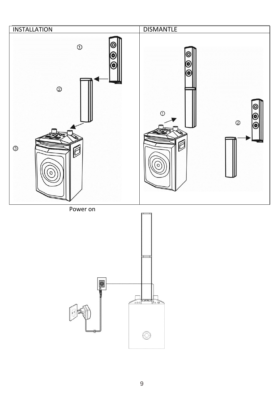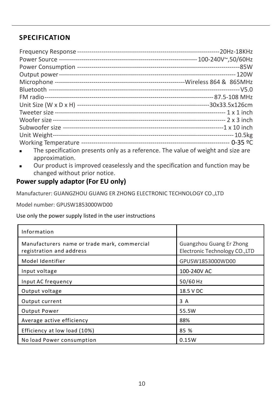### **SPECIFICATION**

| The specification presents only as a reference. The value of weight and size are<br>$\blacksquare$ |  |
|----------------------------------------------------------------------------------------------------|--|

approximation. ■ Our product is improved ceaselessly and the specification and function may be changed without prior notice.

### **Power supply adaptor (For EU only)**

Manufacturer: GUANGZHOU GUANG ER ZHONG ELECTRONIC TECHNOLOGY CO.,LTD

Model number: GPUSW1853000WD00

Use only the power supply listed in the user instructions

| Information                                                              |                                                            |
|--------------------------------------------------------------------------|------------------------------------------------------------|
| Manufacturers name or trade mark, commercial<br>registration and address | Guangzhou Guang Er Zhong<br>Electronic Technology CO., LTD |
| Model Identifier                                                         | GPUSW1853000WD00                                           |
| Input voltage                                                            | 100-240V AC                                                |
| Input AC frequency                                                       | 50/60 Hz                                                   |
| Output voltage                                                           | 18.5 V DC                                                  |
| Output current                                                           | 3 A                                                        |
| <b>Output Power</b>                                                      | 55.5W                                                      |
| Average active efficiency                                                | 88%                                                        |
| Efficiency at low load (10%)                                             | 85 %                                                       |
| No load Power consumption                                                | 0.15W                                                      |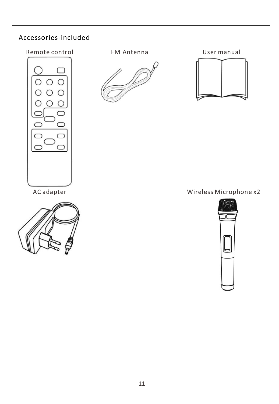### Accessories-included







### AC adapter Mireless Microphone x2

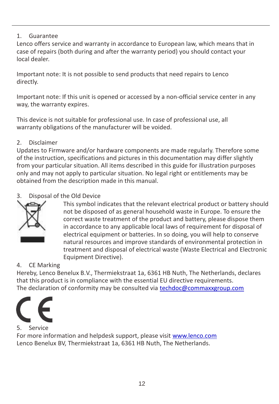### 1. Guarantee

Lenco offers service and warranty in accordance to European law, which means that in case of repairs (both during and after the warranty period) you should contact your local dealer.

Important note: It is not possible to send products that need repairs to Lenco directly.

Important note: If this unit is opened or accessed by a non-official service center in any way, the warranty expires.

This device is not suitable for professional use. In case of professional use, all warranty obligations of the manufacturer will be voided.

### 2. Disclaimer

Updates to Firmware and/or hardware components are made regularly. Therefore some of the instruction, specifications and pictures in this documentation may differ slightly from your particular situation. All items described in this guide for illustration purposes only and may not apply to particular situation. No legal right or entitlements may be obtained from the description made in this manual.

### 3. Disposal of the Old Device



This symbol indicates that the relevant electrical product or battery should not be disposed of as general household waste in Europe. To ensure the correct waste treatment of the product and battery, please dispose them in accordance to any applicable local laws of requirement for disposal of electrical equipment or batteries. In so doing, you will help to conserve natural resources and improve standards of environmental protection in treatment and disposal of electrical waste (Waste Electrical and Electronic Equipment Directive).

### 4. CE Marking

Hereby, Lenco Benelux B.V., Thermiekstraat 1a, 6361 HB Nuth, The Netherlands, declares that this product is in compliance with the essential EU directive requirements. The declaration of conformity may be consulted via [techdoc@commaxxgroup.com](mailto:techdoc@commaxxgroup.com)



### 5. Service

For more information and helpdesk support, please visit [www.lenco.com](http://www.lenco.com/) Lenco Benelux BV, Thermiekstraat 1a, 6361 HB Nuth, The Netherlands.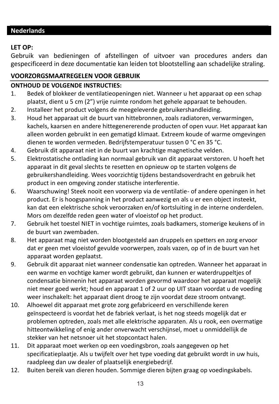### <span id="page-12-0"></span>**Nederlands**

### **LET OP:**

Gebruik van bedieningen of afstellingen of uitvoer van procedures anders dan gespecificeerd in deze documentatie kan leiden tot blootstelling aan schadelijke straling.

### **VOORZORGSMAATREGELEN VOOR GEBRUIK**

### **ONTHOUD DE VOLGENDE INSTRUCTIES:**

- 1. Bedek of blokkeer de ventilatieopeningen niet. Wanneer u het apparaat op een schap plaatst, dient u 5 cm (2") vrije ruimte rondom het gehele apparaat te behouden.
- 2. Installeer het product volgens de meegeleverde gebruikershandleiding.
- 3. Houd het apparaat uit de buurt van hittebronnen, zoals radiatoren, verwarmingen, kachels, kaarsen en andere hittegenererende producten of open vuur. Het apparaat kan alleen worden gebruikt in een gematigd klimaat. Extreem koude of warme omgevingen dienen te worden vermeden. Bedrijfstemperatuur tussen 0 °C en 35 °C.
- 4. Gebruik dit apparaat niet in de buurt van krachtige magnetische velden.
- 5. Elektrostatische ontlading kan normaal gebruik van dit apparaat verstoren. U hoeft het apparaat in dit geval slechts te resetten en opnieuw op te starten volgens de gebruikershandleiding. Wees voorzichtig tijdens bestandsoverdracht en gebruik het product in een omgeving zonder statische interferentie.
- 6. Waarschuwing! Steek nooit een voorwerp via de ventilatie- of andere openingen in het product. Er is hoogspanning in het product aanwezig en als u er een object insteekt, kan dat een elektrische schok veroorzaken en/of kortsluiting in de interne onderdelen. Mors om dezelfde reden geen water of vloeistof op het product.
- 7. Gebruik het toestel NIET in vochtige ruimtes, zoals badkamers, stomerige keukens of in de buurt van zwembaden.
- 8. Het apparaat mag niet worden blootgesteld aan druppels en spetters en zorg ervoor dat er geen met vloeistof gevulde voorwerpen, zoals vazen, op of in de buurt van het apparaat worden geplaatst.
- 9. Gebruik dit apparaat niet wanneer condensatie kan optreden. Wanneer het apparaat in een warme en vochtige kamer wordt gebruikt, dan kunnen er waterdruppeltjes of condensatie binnenin het apparaat worden gevormd waardoor het apparaat mogelijk niet meer goed werkt; houd en apparaat 1 of 2 uur op UIT staan voordat u de voeding weer inschakelt: het apparaat dient droog te zijn voordat deze stroom ontvangt.
- 10. Alhoewel dit apparaat met grote zorg gefabriceerd en verschillende keren geïnspecteerd is voordat het de fabriek verlaat, is het nog steeds mogelijk dat er problemen optreden, zoals met alle elektrische apparaten. Als u rook, een overmatige hitteontwikkeling of enig ander onverwacht verschijnsel, moet u onmiddellijk de stekker van het netsnoer uit het stopcontact halen.
- 11. Dit apparaat moet werken op een voedingsbron, zoals aangegeven op het specificatieplaatje. Als u twijfelt over het type voeding dat gebruikt wordt in uw huis, raadpleeg dan uw dealer of plaatselijk energiebedrijf.
- 12. Buiten bereik van dieren houden. Sommige dieren bijten graag op voedingskabels.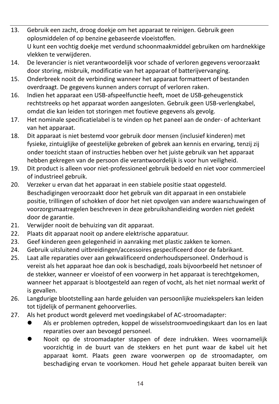- 13. Gebruik een zacht, droog doekje om het apparaat te reinigen. Gebruik geen oplosmiddelen of op benzine gebaseerde vloeistoffen. U kunt een vochtig doekje met verdund schoonmaakmiddel gebruiken om hardnekkige vlekken te verwijderen.
- 14. De leverancier is niet verantwoordelijk voor schade of verloren gegevens veroorzaakt door storing, misbruik, modificatie van het apparaat of batterijvervanging.
- 15. Onderbreek nooit de verbinding wanneer het apparaat formatteert of bestanden overdraagt. De gegevens kunnen anders corrupt of verloren raken.
- 16. Indien het apparaat een USB-afspeelfunctie heeft, moet de USB-geheugenstick rechtstreeks op het apparaat worden aangesloten. Gebruik geen USB-verlengkabel, omdat die kan leiden tot storingen met foutieve gegevens als gevolg.
- 17. Het nominale specificatielabel is te vinden op het paneel aan de onder- of achterkant van het apparaat.
- 18. Dit apparaat is niet bestemd voor gebruik door mensen (inclusief kinderen) met fysieke, zintuiglijke of geestelijke gebreken of gebrek aan kennis en ervaring, tenzij zij onder toezicht staan of instructies hebben over het juiste gebruik van het apparaat hebben gekregen van de persoon die verantwoordelijk is voor hun veiligheid.
- 19. Dit product is alleen voor niet-professioneel gebruik bedoeld en niet voor commercieel of industrieel gebruik.
- 20. Verzeker u ervan dat het apparaat in een stabiele positie staat opgesteld. Beschadigingen veroorzaakt door het gebruik van dit apparaat in een onstabiele positie, trillingen of schokken of door het niet opvolgen van andere waarschuwingen of voorzorgsmaatregelen beschreven in deze gebruikshandleiding worden niet gedekt door de garantie.
- 21. Verwijder nooit de behuizing van dit apparaat.
- 22. Plaats dit apparaat nooit op andere elektrische apparatuur.
- 23. Geef kinderen geen gelegenheid in aanraking met plastic zakken te komen.
- 24. Gebruik uitsluitend uitbreidingen/accessoires gespecificeerd door de fabrikant.
- 25. Laat alle reparaties over aan gekwalificeerd onderhoudspersoneel. Onderhoud is vereist als het apparaat hoe dan ook is beschadigd, zoals bijvoorbeeld het netsnoer of de stekker, wanneer er vloeistof of een voorwerp in het apparaat is terechtgekomen, wanneer het apparaat is blootgesteld aan regen of vocht, als het niet normaal werkt of is gevallen.
- 26. Langdurige blootstelling aan harde geluiden van persoonlijke muziekspelers kan leiden tot tijdelijk of permanent gehoorverlies.
- 27. Als het product wordt geleverd met voedingskabel of AC-stroomadapter:
	- ⚫ Als er problemen optreden, koppel de wisselstroomvoedingskaart dan los en laat reparaties over aan bevoegd personeel.
	- ⚫ Nooit op de stroomadapter stappen of deze indrukken. Wees voornamelijk voorzichtig in de buurt van de stekkers en het punt waar de kabel uit het apparaat komt. Plaats geen zware voorwerpen op de stroomadapter, om beschadiging ervan te voorkomen. Houd het gehele apparaat buiten bereik van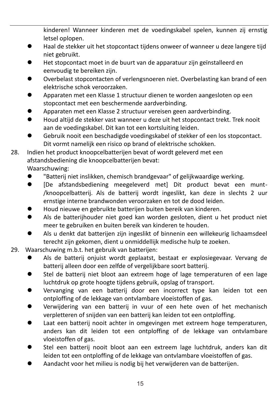kinderen! Wanneer kinderen met de voedingskabel spelen, kunnen zij ernstig letsel oplopen.

- Haal de stekker uit het stopcontact tijdens onweer of wanneer u deze langere tijd niet gebruikt.
- ⚫ Het stopcontact moet in de buurt van de apparatuur zijn geïnstalleerd en eenvoudig te bereiken zijn.
- ⚫ Overbelast stopcontacten of verlengsnoeren niet. Overbelasting kan brand of een elektrische schok veroorzaken.
- ⚫ Apparaten met een Klasse 1 structuur dienen te worden aangesloten op een stopcontact met een beschermende aardverbinding.
- ⚫ Apparaten met een Klasse 2 structuur vereisen geen aardverbinding.
- Houd altijd de stekker vast wanneer u deze uit het stopcontact trekt. Trek nooit aan de voedingskabel. Dit kan tot een kortsluiting leiden.
- ⚫ Gebruik nooit een beschadigde voedingskabel of stekker of een los stopcontact. Dit vormt namelijk een risico op brand of elektrische schokken.
- 28. Indien het product knoopcelbatterijen bevat of wordt geleverd met een afstandsbediening die knoopcelbatterijen bevat:

Waarschuwing:

- ⚫ "Batterij niet inslikken, chemisch brandgevaar" of gelijkwaardige werking.
- ⚫ [De afstandsbediening meegeleverd met] Dit product bevat een munt- /knoopcelbatterij. Als de batterij wordt ingeslikt, kan deze in slechts 2 uur ernstige interne brandwonden veroorzaken en tot de dood leiden.
- ⚫ Houd nieuwe en gebruikte batterijen buiten bereik van kinderen.
- ⚫ Als de batterijhouder niet goed kan worden gesloten, dient u het product niet meer te gebruiken en buiten bereik van kinderen te houden.
- ⚫ Als u denkt dat batterijen zijn ingeslikt of binnenin een willekeurig lichaamsdeel terecht zijn gekomen, dient u onmiddellijk medische hulp te zoeken.
- 29. Waarschuwing m.b.t. het gebruik van batterijen:
	- ⚫ Als de batterij onjuist wordt geplaatst, bestaat er explosiegevaar. Vervang de batterij alleen door een zelfde of vergelijkbare soort batterij.
	- ⚫ Stel de batterij niet bloot aan extreem hoge of lage temperaturen of een lage luchtdruk op grote hoogte tijdens gebruik, opslag of transport.
	- ⚫ Vervanging van een batterij door een incorrect type kan leiden tot een ontploffing of de lekkage van ontvlambare vloeistoffen of gas.
	- ⚫ Verwijdering van een batterij in vuur of een hete oven of het mechanisch verpletteren of snijden van een batterij kan leiden tot een ontploffing.
	- ⚫ Laat een batterij nooit achter in omgevingen met extreem hoge temperaturen, anders kan dit leiden tot een ontploffing of de lekkage van ontvlambare vloeistoffen of gas.
	- ⚫ Stel een batterij nooit bloot aan een extreem lage luchtdruk, anders kan dit leiden tot een ontploffing of de lekkage van ontvlambare vloeistoffen of gas.
	- ⚫ Aandacht voor het milieu is nodig bij het verwijderen van de batterijen.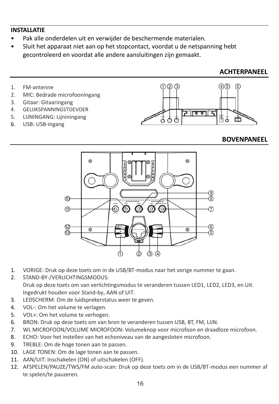### **INSTALLATIE**

- Pak alle onderdelen uit en verwijder de beschermende materialen.
- Sluit het apparaat niet aan op het stopcontact, voordat u de netspanning hebt gecontroleerd en voordat alle andere aansluitingen zijn gemaakt.

### **ACHTERPANEEL**

- 1. FM-antenne
- 2. MIC: Bedrade microfooningang
- 3. Gitaar: Gitaaringang
- 4. GELIJKSPANNINGSTOEVOER
- 5. LIJNINGANG: Lijniningang
- 6. USB: USB-ingang



### **BOVENPANEEL**



- 1. VORIGE: Druk op deze toets om in de USB/BT-modus naar het vorige nummer te gaan.
- 2. STAND-BY-/VERLICHTINGSMODUS: Druk op deze toets om van verlichtingsmodus te veranderen tussen LED1, LED2, LED3, en Uit. Ingedrukt houden voor Stand-by, AAN of UIT.
- 3. LEDSCHERM: Om de luidsprekerstatus weer te geven.
- 4. VOL-: Om het volume te verlagen.
- 5. VOL+: Om het volume te verhogen.
- 6. BRON: Druk op deze toets om van bron te veranderen tussen USB, BT, FM, LIJN.
- 7. WL MICROFOON/VOLUME MICROFOON: Volumeknop voor microfoon en draadloze microfoon.
- 8. ECHO: Voor het instellen van het echoniveau van de aangesloten microfoon.
- 9. TREBLE: Om de hoge tonen aan te passen.
- 10. LAGE TONEN: Om de lage tonen aan te passen.
- 11. AAN/UIT: Inschakelen (ON) of uitschakelen (OFF).
- 12. AFSPELEN/PAUZE/TWS/FM auto-scan: Druk op deze toets om in de USB/BT-modus een nummer af te spelen/te pauzeren.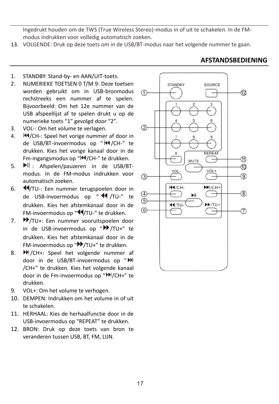Ingedrukt houden om de TWS (True Wireless Stereo)-modus in of uit te schakelen. In de FMmodus indrukken voor volledig automatisch zoeken.

- 13. VOLGENDE: Druk op deze toets om in de USB/BT-modus naar het volgende nummer te gaan.
- 1. STANDBY: Stand-by- en AAN/UIT-toets.
- 2. NUMERIEKE TOETSEN 0 T/M 9: Deze toetsen worden gebruikt om in USB-bronmodus rechstreeks een nummer af te spelen. Bijvoorbeeld: Om het 12e nummer van de USB afspeellijst af te spelen drukt u op de numerieke toets "1" gevolgd door "2".
- 3. VOL-: Om het volume te verlagen.
- 4. **H**<sup> $\sqrt{CH-1}$ : Speel het vorige nummer af door in</sup> de USB/BT-invoermodus op " III / CH-" te drukken. Kies het vorige kanaal door in de Fm-ingangsmodus op "<sup>|44</sup>/CH-" te drukken.
- 5.  $\blacksquare$ : Afspelen/pauzeren in de USB/BTmodus. In de FM-modus indrukken voor automatisch zoeken.
- 6. **44/TU-:** Een nummer terugspoelen door in de USB-invoermodus op " <4 /TU-" te drukken. Kies het afstemkanaal door in de FM-invoermodus op "44/TU-" te drukken.
- 7. **I**V/TU+: Een nummer vooruitspoelen door in de USB-invoermodus op " /TU+" te drukken. Kies het afstemkanaal door in de FM-invoermodus op "<sup>></sup> /TU+" te drukken.
- 8. **M**/CH+: Speel het volgende nummer af door in de USB/BT-invoermodus op " /CH+" te drukken. Kies het volgende kanaal door in de Fm-invoermodus op "IDI/CH+" te drukken.
- 9. VOL+: Om het volume te verhogen.
- 10. DEMPEN: Indrukken om het volume in of uit te schakelen.
- 11. HERHAAL: Kies de herhaalfunctie door in de USB-invoermodus op "REPEAT" te drukken.
- 12. BRON: Druk op deze toets van bron te veranderen tussen USB, BT, FM, LIJN.



### **AFSTANDSBEDIENING**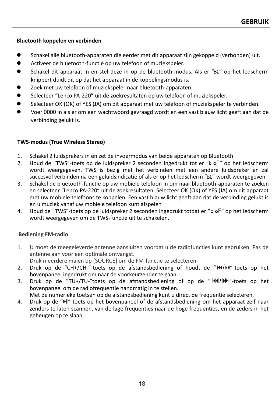### **Bluetooth koppelen en verbinden**

- ⚫ Schakel alle bluetooth-apparaten die eerder met dit apparaat zijn gekoppeld (verbonden) uit.
- ⚫ Activeer de bluetooth-functie op uw telefoon of muziekspeler.
- Schakel dit apparaat in en stel deze in op de bluetooth-modus. Als er "bL" op het ledscherm knippert duidt dit op dat het apparaat in de koppelingsmodus is.
- Zoek met uw telefoon of muziekspeler naar bluetooth-apparaten.
- Selecteer "Lenco PA-220" uit de zoekresultaten op uw telefoon of muziekspeler.
- Selecteer OK (OK) of YES (JA) om dit apparaat met uw telefoon of muziekspeler te verbinden.
- ⚫ Voer 0000 in als er om een wachtwoord gevraagd wordt en een vast blauw licht geeft aan dat de verbinding gelukt is.

### **TWS-modus (True Wireless Stereo)**

- 1. Schakel 2 luidsprekers in en zet de invoermodus van beide apparaten op Bluetooth
- 2. Houd de "TWS"-toets op de luidspreker 2 seconden ingedrukt tot er "E ofl" op het ledscherm wordt weergegeven. TWS is bezig met het verbinden met een andere luidspreker en zal succesvol verbinden na een geluidsindicatie of als er op het ledscherm "bL" wordt weergegeven.
- 3. Schakel de bluetooth-functie op uw mobiele telefoon in om naar bluetooth-apparaten te zoeken en selecteer "Lenco PA-220" uit de zoekresultaten. Selecteer OK (OK) of YES (JA) om dit apparaat met uw mobiele telefoons te koppelen. Een vast blauw licht geeft aan dat de verbinding gelukt is en u muziek vanaf uw mobiele telefoon kunt afspelen
- 4. Houd de "TWS"-toets op de luidspreker 2 seconden ingedrukt totdat er "E oF" op het ledscherm wordt weergegeven om de TWS-functie uit te schakelen.

### **Bediening FM-radio**

1. U moet de meegeleverde antenne aansluiten voordat u de radiofuncties kunt gebruiken. Pas de antenne aan voor een optimale ontvangst.

Druk meerdere malen op [SOURCE] om de FM-functie te selecteren.

- 2. Druk op de "CH+/CH-"-toets op de afstandsbediening of houdt de " $M/M$ "-toets op het bovenpaneel ingedrukt om naar de voorkeurzender te gaan.
- 3. Druk op de "TU+/TU-"toets op de afstandsbediening of op de " $\frac{1}{4}$   $\frac{1}{2}$ "-toets op het bovenpaneel om de radiofrequentie handmatig in te stellen.

Met de numerieke toetsen op de afstandsbediening kunt u direct de frequentie selecteren.

4. Druk op de " "-toets op het bovenpaneel of de afstandsbediening om het apparaat zelf naar zenders te laten scannen, van de lage frequenties naar de hoge frequenties, en de zeders in het geheugen op te slaan.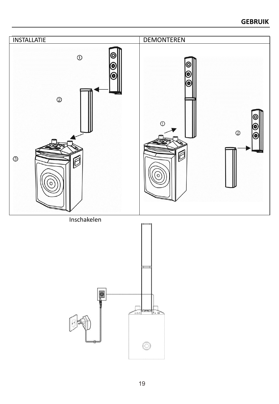### **GEBRUIK**

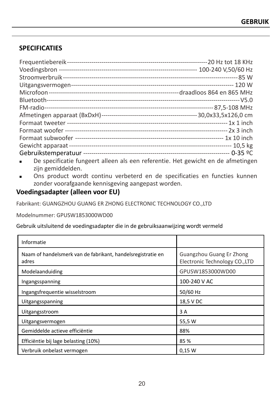### **SPECIFICATIES**

| De specificatie fungeert alleen als een referentie. Het gewicht en de afmetingen<br>$\blacksquare$ |  |
|----------------------------------------------------------------------------------------------------|--|

- zijn gemiddelden.
- Ons product wordt continu verbeterd en de specificaties en functies kunnen zonder voorafgaande kennisgeving aangepast worden.

### **Voedingsadapter (alleen voor EU)**

Fabrikant: GUANGZHOU GUANG ER ZHONG ELECTRONIC TECHNOLOGY CO.,LTD

Modelnummer: GPUSW1853000WD00

Gebruik uitsluitend de voedingsadapter die in de gebruiksaanwijzing wordt vermeld

| Informatie                                                           |                                                            |
|----------------------------------------------------------------------|------------------------------------------------------------|
| Naam of handelsmerk van de fabrikant, handelsregistratie en<br>adres | Guangzhou Guang Er Zhong<br>Electronic Technology CO., LTD |
| Modelaanduiding                                                      | GPUSW1853000WD00                                           |
| Ingangsspanning                                                      | 100-240 V AC                                               |
| Ingangsfrequentie wisselstroom                                       | 50/60 Hz                                                   |
| Uitgangsspanning                                                     | 18,5 V DC                                                  |
| Uitgangsstroom                                                       | 3 A                                                        |
| Uitgangsvermogen                                                     | 55,5 W                                                     |
| Gemiddelde actieve efficiëntie                                       | 88%                                                        |
| Efficiëntie bij lage belasting (10%)                                 | 85%                                                        |
| Verbruik onbelast vermogen                                           | 0.15 W                                                     |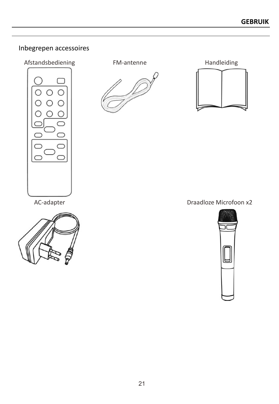### Inbegrepen accessoires







AC-adapter **Draadloze Microfoon x2** 

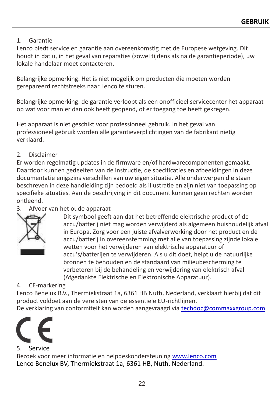### 1. Garantie

Lenco biedt service en garantie aan overeenkomstig met de Europese wetgeving. Dit houdt in dat u, in het geval van reparaties (zowel tijdens als na de garantieperiode), uw lokale handelaar moet contacteren.

Belangrijke opmerking: Het is niet mogelijk om producten die moeten worden gerepareerd rechtstreeks naar Lenco te sturen.

Belangrijke opmerking: de garantie verloopt als een onofficieel servicecenter het apparaat op wat voor manier dan ook heeft geopend, of er toegang toe heeft gekregen.

Het apparaat is niet geschikt voor professioneel gebruik. In het geval van professioneel gebruik worden alle garantieverplichtingen van de fabrikant nietig verklaard.

### 2. Disclaimer

Er worden regelmatig updates in de firmware en/of hardwarecomponenten gemaakt. Daardoor kunnen gedeelten van de instructie, de specificaties en afbeeldingen in deze documentatie enigszins verschillen van uw eigen situatie. Alle onderwerpen die staan beschreven in deze handleiding zijn bedoeld als illustratie en zijn niet van toepassing op specifieke situaties. Aan de beschrijving in dit document kunnen geen rechten worden ontleend.

### 3. Afvoer van het oude apparaat



Dit symbool geeft aan dat het betreffende elektrische product of de accu/batterij niet mag worden verwijderd als algemeen huishoudelijk afval in Europa. Zorg voor een juiste afvalverwerking door het product en de accu/batterij in overeenstemming met alle van toepassing zijnde lokale wetten voor het verwijderen van elektrische apparatuur of accu's/batterijen te verwijderen. Als u dit doet, helpt u de natuurlijke bronnen te behouden en de standaard van milieubescherming te verbeteren bij de behandeling en verwijdering van elektrisch afval (Afgedankte Elektrische en Elektronische Apparatuur).

### 4. CE-markering

Lenco Benelux B.V., Thermiekstraat 1a, 6361 HB Nuth, Nederland, verklaart hierbij dat dit product voldoet aan de vereisten van de essentiële EU-richtlijnen.

De verklaring van conformiteit kan worden aangevraagd via [techdoc@commaxxgroup.com](mailto:techdoc@commaxxgroup.com)



### 5. Service

Bezoek voor meer informatie en helpdeskondersteuning [www.lenco.com](http://www.lenco.com/) Lenco Benelux BV, Thermiekstraat 1a, 6361 HB, Nuth, Nederland.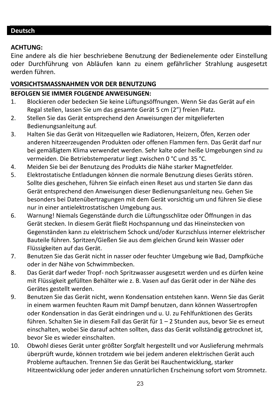### <span id="page-22-0"></span>**ACHTUNG:**

Eine andere als die hier beschriebene Benutzung der Bedienelemente oder Einstellung oder Durchführung von Abläufen kann zu einem gefährlicher Strahlung ausgesetzt werden führen.

### **VORSICHTSMASSNAHMEN VOR DER BENUTZUNG**

### **BEFOLGEN SIE IMMER FOLGENDE ANWEISUNGEN:**

- 1. Blockieren oder bedecken Sie keine Lüftungsöffnungen. Wenn Sie das Gerät auf ein Regal stellen, lassen Sie um das gesamte Gerät 5 cm (2") freien Platz.
- 2. Stellen Sie das Gerät entsprechend den Anweisungen der mitgelieferten Bedienungsanleitung auf.
- 3. Halten Sie das Gerät von Hitzequellen wie Radiatoren, Heizern, Öfen, Kerzen oder anderen hitzeerzeugenden Produkten oder offenen Flammen fern. Das Gerät darf nur bei gemäßigtem Klima verwendet werden. Sehr kalte oder heiße Umgebungen sind zu vermeiden. Die Betriebstemperatur liegt zwischen 0 °C und 35 °C.
- 4. Meiden Sie bei der Benutzung des Produkts die Nähe starker Magnetfelder.
- 5. Elektrostatische Entladungen können die normale Benutzung dieses Geräts stören. Sollte dies geschehen, führen Sie einfach einen Reset aus und starten Sie dann das Gerät entsprechend den Anweisungen dieser Bedienungsanleitung neu. Gehen Sie besonders bei Datenübertragungen mit dem Gerät vorsichtig um und führen Sie diese nur in einer antielektrostatischen Umgebung aus.
- 6. Warnung! Niemals Gegenstände durch die Lüftungsschlitze oder Öffnungen in das Gerät stecken. In diesem Gerät fließt Hochspannung und das Hineinstecken von Gegenständen kann zu elektrischem Schock und/oder Kurzschluss interner elektrischer Bauteile führen. Spritzen/Gießen Sie aus dem gleichen Grund kein Wasser oder Flüssigkeiten auf das Gerät.
- 7. Benutzen Sie das Gerät nicht in nasser oder feuchter Umgebung wie Bad, Dampfküche oder in der Nähe von Schwimmbecken.
- 8. Das Gerät darf weder Tropf- noch Spritzwasser ausgesetzt werden und es dürfen keine mit Flüssigkeit gefüllten Behälter wie z. B. Vasen auf das Gerät oder in der Nähe des Gerätes gestellt werden.
- 9. Benutzen Sie das Gerät nicht, wenn Kondensation entstehen kann. Wenn Sie das Gerät in einem warmen feuchten Raum mit Dampf benutzen, dann können Wassertropfen oder Kondensation in das Gerät eindringen und u. U. zu Fehlfunktionen des Geräts führen. Schalten Sie in diesem Fall das Gerät für 1 – 2 Stunden aus, bevor Sie es erneut einschalten, wobei Sie darauf achten sollten, dass das Gerät vollständig getrocknet ist, bevor Sie es wieder einschalten.
- 10. Obwohl dieses Gerät unter größter Sorgfalt hergestellt und vor Auslieferung mehrmals überprüft wurde, können trotzdem wie bei jedem anderen elektrischen Gerät auch Probleme auftauchen. Trennen Sie das Gerät bei Rauchentwicklung, starker Hitzeentwicklung oder jeder anderen unnatürlichen Erscheinung sofort vom Stromnetz.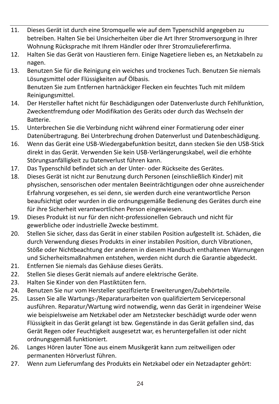- 11. Dieses Gerät ist durch eine Stromquelle wie auf dem Typenschild angegeben zu betreiben. Halten Sie bei Unsicherheiten über die Art Ihrer Stromversorgung in Ihrer Wohnung Rücksprache mit Ihrem Händler oder Ihrer Stromzuliefererfirma.
- 12. Halten Sie das Gerät von Haustieren fern. Einige Nagetiere lieben es, an Netzkabeln zu nagen.
- 13. Benutzen Sie für die Reinigung ein weiches und trockenes Tuch. Benutzen Sie niemals Lösungsmittel oder Flüssigkeiten auf Ölbasis. Benutzen Sie zum Entfernen hartnäckiger Flecken ein feuchtes Tuch mit mildem Reinigungsmittel.
- 14. Der Hersteller haftet nicht für Beschädigungen oder Datenverluste durch Fehlfunktion, Zweckentfremdung oder Modifikation des Geräts oder durch das Wechseln der Batterie.
- 15. Unterbrechen Sie die Verbindung nicht während einer Formatierung oder einer Datenübertragung. Bei Unterbrechung drohen Datenverlust und Datenbeschädigung.
- 16. Wenn das Gerät eine USB-Wiedergabefunktion besitzt, dann stecken Sie den USB-Stick direkt in das Gerät. Verwenden Sie kein USB-Verlängerungskabel, weil die erhöhte Störungsanfälligkeit zu Datenverlust führen kann.
- 17. Das Typenschild befindet sich an der Unter- oder Rückseite des Gerätes.
- 18. Dieses Gerät ist nicht zur Benutzung durch Personen (einschließlich Kinder) mit physischen, sensorischen oder mentalen Beeinträchtigungen oder ohne ausreichender Erfahrung vorgesehen, es sei denn, sie werden durch eine verantwortliche Person beaufsichtigt oder wurden in die ordnungsgemäße Bedienung des Gerätes durch eine für ihre Sicherheit verantwortlichen Person eingewiesen.
- 19. Dieses Produkt ist nur für den nicht-professionellen Gebrauch und nicht für gewerbliche oder industrielle Zwecke bestimmt.
- 20. Stellen Sie sicher, dass das Gerät in einer stabilen Position aufgestellt ist. Schäden, die durch Verwendung dieses Produkts in einer instabilen Position, durch Vibrationen, Stöße oder Nichtbeachtung der anderen in diesem Handbuch enthaltenen Warnungen und Sicherheitsmaßnahmen entstehen, werden nicht durch die Garantie abgedeckt.
- 21. Entfernen Sie niemals das Gehäuse dieses Geräts.
- 22. Stellen Sie dieses Gerät niemals auf andere elektrische Geräte.
- 23. Halten Sie Kinder von den Plastiktüten fern.
- 24. Benutzen Sie nur vom Hersteller spezifizierte Erweiterungen/Zubehörteile.
- 25. Lassen Sie alle Wartungs-/Reparaturarbeiten von qualifiziertem Servicepersonal ausführen. Reparatur/Wartung wird notwendig, wenn das Gerät in irgendeiner Weise wie beispielsweise am Netzkabel oder am Netzstecker beschädigt wurde oder wenn Flüssigkeit in das Gerät gelangt ist bzw. Gegenstände in das Gerät gefallen sind, das Gerät Regen oder Feuchtigkeit ausgesetzt war, es heruntergefallen ist oder nicht ordnungsgemäß funktioniert.
- 26. Langes Hören lauter Töne aus einem Musikgerät kann zum zeitweiligen oder permanenten Hörverlust führen.
- 27. Wenn zum Lieferumfang des Produkts ein Netzkabel oder ein Netzadapter gehört: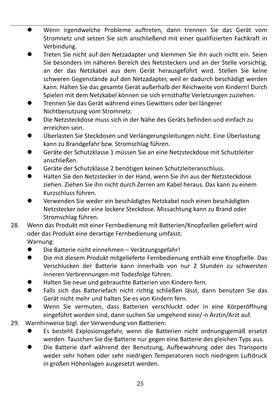- ⚫ Wenn irgendwelche Probleme auftreten, dann trennen Sie das Gerät vom Stromnetz und setzen Sie sich anschließend mit einer qualifizierten Fachkraft in Verbindung.
- ⚫ Treten Sie nicht auf den Netzadapter und klemmen Sie ihn auch nicht ein. Seien Sie besonders im näheren Bereich des Netzsteckers und an der Stelle vorsichtig, an der das Netzkabel aus dem Gerät herausgeführt wird. Stellen Sie keine schweren Gegenstände auf den Netzadapter, weil er dadurch beschädigt werden kann. Halten Sie das gesamte Gerät außerhalb der Reichweite von Kindern! Durch Spielen mit dem Netzkabel können sie sich ernsthafte Verletzungen zuziehen.
- ⚫ Trennen Sie das Gerät während eines Gewitters oder bei längerer Nichtbenutzung vom Stromnetz.
- ⚫ Die Netzsteckdose muss sich in der Nähe des Geräts befinden und einfach zu erreichen sein.
- ⚫ Überlasten Sie Steckdosen und Verlängerungsleitungen nicht. Eine Überlastung kann zu Brandgefahr bzw. Stromschlag führen.
- ⚫ Geräte der Schutzklasse 1 müssen Sie an eine Netzsteckdose mit Schutzleiter anschließen.
- ⚫ Geräte der Schutzklasse 2 benötigen keinen Schutzleiteranschluss.
- ⚫ Halten Sie den Netzstecker in der Hand, wenn Sie ihn aus der Netzsteckdose ziehen. Ziehen Sie ihn nicht durch Zerren am Kabel heraus. Das kann zu einem Kurzschluss führen.
- ⚫ Verwenden Sie weder ein beschädigtes Netzkabel noch einen beschädigten Netzstecker oder eine lockere Steckdose. Missachtung kann zu Brand oder Stromschlag führen.
- 28. Wenn das Produkt mit einer Fernbedienung mit Batterien/Knopfzellen geliefert wird oder das Produkt eine derartige Fernbedienung umfasst:
	- Warnung:
	- ⚫ Die Batterie nicht einnehmen Verätzungsgefahr!
	- ⚫ Die mit diesem Produkt mitgelieferte Fernbedienung enthält eine Knopfzelle. Das Verschlucken der Batterie kann innerhalb von nur 2 Stunden zu schwersten inneren Verbrennungen mit Todesfolge führen.
	- ⚫ Halten Sie neue und gebrauchte Batterien von Kindern fern.
	- ⚫ Falls sich das Batteriefach nicht richtig schließen lässt, dann benutzen Sie das Gerät nicht mehr und halten Sie es von Kindern fern.
	- ⚫ Wenn Sie vermuten, dass Batterien verschluckt oder in eine Körperöffnung eingeführt worden sind, dann suchen Sie umgehend eine/-n Ärztin/Arzt auf.
- 29. Warnhinweise bzgl. der Verwendung von Batterien:
	- ⚫ Es besteht Explosionsgefahr, wenn die Batterien nicht ordnungsgemäß ersetzt werden. Tauschen Sie die Batterie nur gegen eine Batterie des gleichen Typs aus.
	- ⚫ Die Batterie darf während der Benutzung, Aufbewahrung oder des Transports weder sehr hohen oder sehr niedrigen Temperaturen noch niedrigem Luftdruck in großen Höhenlagen ausgesetzt werden.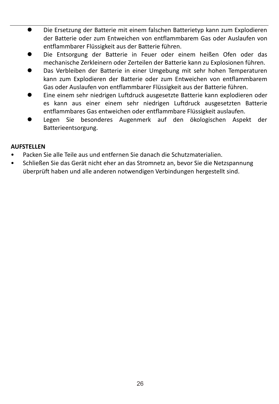- ⚫ Die Ersetzung der Batterie mit einem falschen Batterietyp kann zum Explodieren der Batterie oder zum Entweichen von entflammbarem Gas oder Auslaufen von entflammbarer Flüssigkeit aus der Batterie führen.
- ⚫ Die Entsorgung der Batterie in Feuer oder einem heißen Ofen oder das mechanische Zerkleinern oder Zerteilen der Batterie kann zu Explosionen führen.
- ⚫ Das Verbleiben der Batterie in einer Umgebung mit sehr hohen Temperaturen kann zum Explodieren der Batterie oder zum Entweichen von entflammbarem Gas oder Auslaufen von entflammbarer Flüssigkeit aus der Batterie führen.
- ⚫ Eine einem sehr niedrigen Luftdruck ausgesetzte Batterie kann explodieren oder es kann aus einer einem sehr niedrigen Luftdruck ausgesetzten Batterie entflammbares Gas entweichen oder entflammbare Flüssigkeit auslaufen.
- ⚫ Legen Sie besonderes Augenmerk auf den ökologischen Aspekt der Batterieentsorgung.

### **AUFSTELLEN**

- Packen Sie alle Teile aus und entfernen Sie danach die Schutzmaterialien.
- Schließen Sie das Gerät nicht eher an das Stromnetz an, bevor Sie die Netzspannung überprüft haben und alle anderen notwendigen Verbindungen hergestellt sind.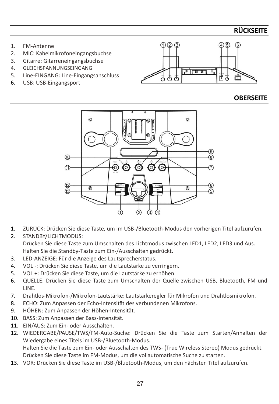### **RÜCKSEITE**

- 1. FM-Antenne
- 2. MIC: Kabelmikrofoneingangsbuchse<br>3. Gitarre: Gitarreneingangsbuchse
- Gitarre: Gitarreneingangsbuchse
- 4. GLEICHSPANNUNGSEINGANG
- 5. Line-EINGANG: Line-Eingangsanschluss
- 6. USB: USB-Eingangsport



### **OBERSEITE**



- 1. ZURÜCK: Drücken Sie diese Taste, um im USB-/Bluetooth-Modus den vorherigen Titel aufzurufen.
- 2. STANDBY/LICHTMODUS: Drücken Sie diese Taste zum Umschalten des Lichtmodus zwischen LED1, LED2, LED3 und Aus. Halten Sie die Standby-Taste zum Ein-/Ausschalten gedrückt.
- 3. LED-ANZEIGE: Für die Anzeige des Lautsprecherstatus.
- 4. VOL -: Drücken Sie diese Taste, um die Lautstärke zu verringern.
- 5. VOL +: Drücken Sie diese Taste, um die Lautstärke zu erhöhen.
- 6. QUELLE: Drücken Sie diese Taste zum Umschalten der Quelle zwischen USB, Bluetooth, FM und LINE.
- 7. Drahtlos-Mikrofon-/Mikrofon-Lautstärke: Lautstärkeregler für Mikrofon und Drahtlosmikrofon.
- 8. ECHO: Zum Anpassen der Echo-Intensität des verbundenen Mikrofons.
- 9. HÖHEN: Zum Anpassen der Höhen-Intensität.
- 10. BASS: Zum Anpassen der Bass-Intensität.
- 11. EIN/AUS: Zum Ein- oder Ausschalten.
- 12. WIEDERGABE/PAUSE/TWS/FM-Auto-Suche: Drücken Sie die Taste zum Starten/Anhalten der Wiedergabe eines Titels im USB-/Bluetooth-Modus. Halten Sie die Taste zum Ein- oder Ausschalten des TWS- (True Wireless Stereo) Modus gedrückt.
	- Drücken Sie diese Taste im FM-Modus, um die vollautomatische Suche zu starten.
- 13. VOR: Drücken Sie diese Taste im USB-/Bluetooth-Modus, um den nächsten Titel aufzurufen.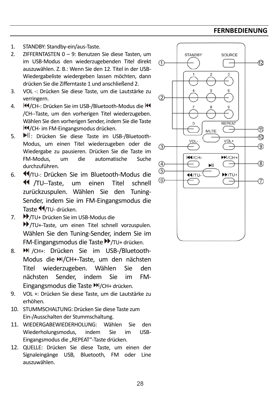### **FERNBEDIENUNG**

- 1. STANDBY: Standby-ein/aus-Taste.
- 2. ZIFFERNTASTEN 0 9: Benutzen Sie diese Tasten, um im USB-Modus den wiederzugebenden Titel direkt auszuwählen. Z. B.: Wenn Sie den 12. Titel in der USB-Wiedergabeliste wiedergeben lassen möchten, dann drücken Sie die Zifferntaste 1 und anschließend 2.
- 3. VOL -: Drücken Sie diese Taste, um die Lautstärke zu verringern.
- 4. **M**/CH-: Drücken Sie im USB-/Bluetooth-Modus die M /CH--Taste, um den vorherigen Titel wiederzugeben. Wählen Sie den vorherigen Sender, indem Sie die Taste /CH- im FM-Eingangsmodus drücken.
- 5. II: Drücken Sie diese Taste im USB-/Bluetooth-Modus, um einen Titel wiederzugeben oder die Wiedergabe zu pausieren. Drücken Sie die Taste im die automatische Suche durchzuführen.
- 6. **44/TU-: Drücken Sie im Bluetooth-Modus die** /TU--Taste, um einen Titel schnell zurückzuspulen. Wählen Sie den Tuning-Sender, indem Sie im FM-Eingangsmodus die Taste </a>
- 7. **▶▶/TU+ Drücken Sie im USB-Modus die** /TU+-Taste, um einen Titel schnell vorzuspulen. Wählen Sie den Tuning-Sender, indem Sie im FM-Eingangsmodus die Taste ▶ /TU+ drücken.
- 8. <sup>M</sup> /CH+: Drücken Sie im USB-/Bluetooth-Modus die M/CH+-Taste, um den nächsten Titel wiederzugeben. Wählen Sie den nächsten Sender, indem Sie im FM-Eingangsmodus die Taste ▶ /CH+ drücken.
- 9. VOL +: Drücken Sie diese Taste, um die Lautstärke zu erhöhen.
- 10. STUMMSCHALTUNG: Drücken Sie diese Taste zum Ein-/Ausschalten der Stummschaltung.
- 11. WIEDERGABEWIEDERHOLUNG: Wählen Sie den Wiederholungsmodus, indem Sie im USB-Eingangsmodus die "REPEAT"-Taste drücken.
- 12. QUELLE: Drücken Sie diese Taste, um einen der Signaleingänge USB, Bluetooth, FM oder Line auszuwählen.

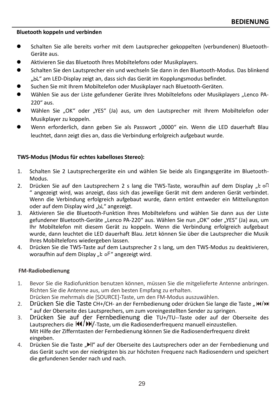### **Bluetooth koppeln und verbinden**

- Schalten Sie alle bereits vorher mit dem Lautsprecher gekoppelten (verbundenen) Bluetooth-Geräte aus.
- ⚫ Aktivieren Sie das Bluetooth Ihres Mobiltelefons oder Musikplayers.
- ⚫ Schalten Sie den Lautsprecher ein und wechseln Sie dann in den Bluetooth-Modus. Das blinkend "bl" am LED-Display zeigt an, dass sich das Gerät im Kopplungsmodus befindet.
- ⚫ Suchen Sie mit Ihrem Mobiltelefon oder Musikplayer nach Bluetooth-Geräten.
- Wählen Sie aus der Liste gefundener Geräte Ihres Mobiltelefons oder Musikplayers "Lenco PA-220" aus.
- Wählen Sie "OK" oder "YES" (Ja) aus, um den Lautsprecher mit Ihrem Mobiltelefon oder Musikplayer zu koppeln.
- Wenn erforderlich, dann geben Sie als Passwort "0000" ein. Wenn die LED dauerhaft Blau leuchtet, dann zeigt dies an, dass die Verbindung erfolgreich aufgebaut wurde.

### **TWS-Modus (Modus für echtes kabelloses Stereo):**

- 1. Schalten Sie 2 Lautsprechergeräte ein und wählen Sie beide als Eingangsgeräte im Bluetooth-Modus.
- 2. Drücken Sie auf den Lautsprechern 2 s lang die TWS-Taste, woraufhin auf dem Display "E oft " angezeigt wird, was anzeigt, dass sich das jeweilige Gerät mit dem anderen Gerät verbindet. Wenn die Verbindung erfolgreich aufgebaut wurde, dann ertönt entweder ein Mitteilungston oder auf dem Display wird "bL" angezeigt.
- 3. Aktivieren Sie die Bluetooth-Funktion Ihres Mobiltelefons und wählen Sie dann aus der Liste gefundener Bluetooth-Geräte "Lenco PA-220" aus. Wählen Sie nun "OK" oder "YES" (Ja) aus, um Ihr Mobiltelefon mit diesem Gerät zu koppeln. Wenn die Verbindung erfolgreich aufgebaut wurde, dann leuchtet die LED dauerhaft Blau. Jetzt können Sie über die Lautsprecher die Musik Ihres Mobiltelefons wiedergeben lassen.
- 4. Drücken Sie die TWS-Taste auf dem Lautsprecher 2 s lang, um den TWS-Modus zu deaktivieren, woraufhin auf dem Display "E oF" angezeigt wird.

### **FM-Radiobedienung**

- 1. Bevor Sie die Radiofunktion benutzen können, müssen Sie die mitgelieferte Antenne anbringen. Richten Sie die Antenne aus, um den besten Empfang zu erhalten. Drücken Sie mehrmals die [SOURCE]-Taste, um den FM-Modus auszuwählen.
- 2. Drücken Sie die Taste CH+/CH- an der Fernbedienung oder drücken Sie lange die Taste "IM/DH " auf der Oberseite des Lautsprechers, um zum voreingestellten Sender zu springen.
- 3. Drücken Sie auf der Fernbedienung die TU+/TU--Taste oder auf der Oberseite des Lautsprechers die  $\frac{1}{4}$ /•N/-Taste, um die Radiosenderfrequenz manuell einzustellen. Mit Hilfe der Zifferntasten der Fernbedienung können Sie die Radiosenderfrequenz direkt eingeben.
- 4. Drücken Sie die Taste "Im auf der Oberseite des Lautsprechers oder an der Fernbedienung und das Gerät sucht von der niedrigsten bis zur höchsten Frequenz nach Radiosendern und speichert die gefundenen Sender nach und nach.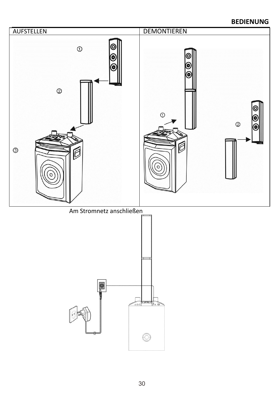### **BEDIENUNG**

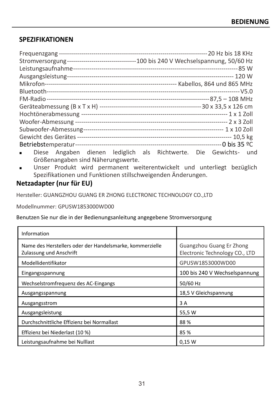### **SPEZIFIKATIONEN**

| Stromversorgung----------------------------------100 bis 240 V Wechselspannung, 50/60 Hz |                                                                  |
|------------------------------------------------------------------------------------------|------------------------------------------------------------------|
|                                                                                          |                                                                  |
|                                                                                          |                                                                  |
|                                                                                          |                                                                  |
|                                                                                          |                                                                  |
|                                                                                          |                                                                  |
|                                                                                          |                                                                  |
|                                                                                          |                                                                  |
|                                                                                          |                                                                  |
|                                                                                          |                                                                  |
|                                                                                          |                                                                  |
|                                                                                          |                                                                  |
| $\blacksquare$                                                                           | Diese Angaben dienen lediglich als Richtwerte. Die Gewichts- und |
| Größenangaben sind Näherungswerte.                                                       |                                                                  |

<sup>◼</sup> Unser Produkt wird permanent weiterentwickelt und unterliegt bezüglich Spezifikationen und Funktionen stillschweigenden Änderungen.

### **Netzadapter (nur für EU)**

Hersteller: GUANGZHOU GUANG ER ZHONG ELECTRONIC TECHNOLOGY CO.,LTD

Modellnummer: GPUSW1853000WD00

Benutzen Sie nur die in der Bedienungsanleitung angegebene Stromversorgung

| Information                                                                         |                                                            |
|-------------------------------------------------------------------------------------|------------------------------------------------------------|
| Name des Herstellers oder der Handelsmarke, kommerzielle<br>Zulassung und Anschrift | Guangzhou Guang Er Zhong<br>Electronic Technology CO., LTD |
| Modellidentifikator                                                                 | GPUSW1853000WD00                                           |
| Eingangsspannung                                                                    | 100 bis 240 V Wechselspannung                              |
| Wechselstromfrequenz des AC-Eingangs                                                | 50/60 Hz                                                   |
| Ausgangsspannung                                                                    | 18,5 V Gleichspannung                                      |
| Ausgangsstrom                                                                       | 3 A                                                        |
| Ausgangsleistung                                                                    | 55,5 W                                                     |
| Durchschnittliche Effizienz bei Normallast                                          | 88%                                                        |
| Effizienz bei Niederlast (10 %)                                                     | 85 %                                                       |
| Leistungsaufnahme bei Nulllast                                                      | 0.15 W                                                     |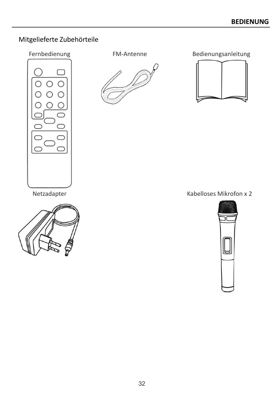# Mitgelieferte Zubehörteile



Fernbedienung FM-Antenne Bedienungsanleitung



Netzadapter **Netzadapter** Kabelloses Mikrofon x 2



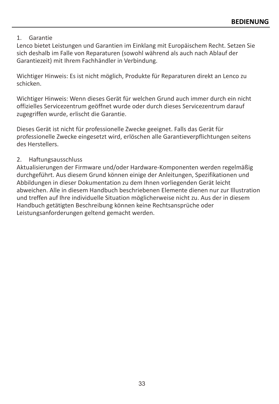### 1. Garantie

Lenco bietet Leistungen und Garantien im Einklang mit Europäischem Recht. Setzen Sie sich deshalb im Falle von Reparaturen (sowohl während als auch nach Ablauf der Garantiezeit) mit Ihrem Fachhändler in Verbindung.

Wichtiger Hinweis: Es ist nicht möglich, Produkte für Reparaturen direkt an Lenco zu schicken.

Wichtiger Hinweis: Wenn dieses Gerät für welchen Grund auch immer durch ein nicht offizielles Servicezentrum geöffnet wurde oder durch dieses Servicezentrum darauf zugegriffen wurde, erlischt die Garantie.

Dieses Gerät ist nicht für professionelle Zwecke geeignet. Falls das Gerät für professionelle Zwecke eingesetzt wird, erlöschen alle Garantieverpflichtungen seitens des Herstellers.

### 2. Haftungsausschluss

Aktualisierungen der Firmware und/oder Hardware-Komponenten werden regelmäßig durchgeführt. Aus diesem Grund können einige der Anleitungen, Spezifikationen und Abbildungen in dieser Dokumentation zu dem Ihnen vorliegenden Gerät leicht abweichen. Alle in diesem Handbuch beschriebenen Elemente dienen nur zur Illustration und treffen auf Ihre individuelle Situation möglicherweise nicht zu. Aus der in diesem Handbuch getätigten Beschreibung können keine Rechtsansprüche oder Leistungsanforderungen geltend gemacht werden.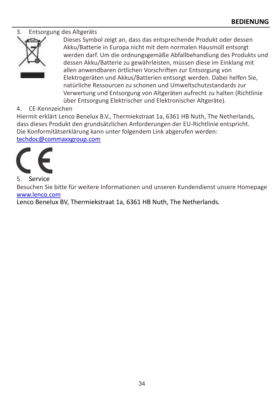### 3. Entsorgung des Altgeräts



Dieses Symbol zeigt an, dass das entsprechende Produkt oder dessen Akku/Batterie in Europa nicht mit dem normalen Hausmüll entsorgt werden darf. Um die ordnungsgemäße Abfallbehandlung des Produkts und dessen Akku/Batterie zu gewährleisten, müssen diese im Einklang mit allen anwendbaren örtlichen Vorschriften zur Entsorgung von Elektrogeräten und Akkus/Batterien entsorgt werden. Dabei helfen Sie, natürliche Ressourcen zu schonen und Umweltschutzstandards zur Verwertung und Entsorgung von Altgeräten aufrecht zu halten (Richtlinie über Entsorgung Elektrischer und Elektronischer Altgeräte).

### 4. CE-Kennzeichen

Hiermit erklärt Lenco Benelux B.V., Thermiekstraat 1a, 6361 HB Nuth, The Netherlands, dass dieses Produkt den grundsätzlichen Anforderungen der EU-Richtlinie entspricht. Die Konformitätserklärung kann unter folgendem Link abgerufen werden: [techdoc@commaxxgroup.com](mailto:techdoc@commaxxgroup.com)



Besuchen Sie bitte für weitere Informationen und unseren Kundendienst unsere Homepage [www.lenco.com](http://www.lenco.com/)

Lenco Benelux BV, Thermiekstraat 1a, 6361 HB Nuth, The Netherlands.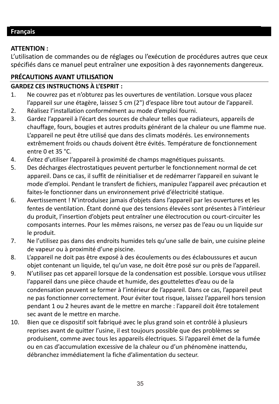### <span id="page-34-0"></span>**Français**

### **ATTENTION :**

L'utilisation de commandes ou de réglages ou l'exécution de procédures autres que ceux spécifiés dans ce manuel peut entraîner une exposition à des rayonnements dangereux.

### **PRÉCAUTIONS AVANT UTILISATION**

### **GARDEZ CES INSTRUCTIONS À L'ESPRIT :**

- 1. Ne couvrez pas et n'obturez pas les ouvertures de ventilation. Lorsque vous placez l'appareil sur une étagère, laissez 5 cm (2") d'espace libre tout autour de l'appareil.
- 2. Réalisez l'installation conformément au mode d'emploi fourni.<br>3. Gardez l'annareil à l'écart des sources de chaleur telles que rad
- 3. Gardez l'appareil à l'écart des sources de chaleur telles que radiateurs, appareils de chauffage, fours, bougies et autres produits générant de la chaleur ou une flamme nue. L'appareil ne peut être utilisé que dans des climats modérés. Les environnements extrêmement froids ou chauds doivent être évités. Température de fonctionnement entre 0 et 35 °C.
- 4. Évitez d'utiliser l'appareil à proximité de champs magnétiques puissants.<br>5. Des décharges électrostatiques peuvent perturber le fonctionnement no
- 5. Des décharges électrostatiques peuvent perturber le fonctionnement normal de cet appareil. Dans ce cas, il suffit de réinitialiser et de redémarrer l'appareil en suivant le mode d'emploi. Pendant le transfert de fichiers, manipulez l'appareil avec précaution et faites-le fonctionner dans un environnement privé d'électricité statique.
- 6. Avertissement ! N'introduisez jamais d'objets dans l'appareil par les ouvertures et les fentes de ventilation. Étant donné que des tensions élevées sont présentes à l'intérieur du produit, l'insertion d'objets peut entraîner une électrocution ou court-circuiter les composants internes. Pour les mêmes raisons, ne versez pas de l'eau ou un liquide sur le produit.
- 7. Ne l'utilisez pas dans des endroits humides tels qu'une salle de bain, une cuisine pleine de vapeur ou à proximité d'une piscine.
- 8. L'appareil ne doit pas être exposé à des écoulements ou des éclaboussures et aucun objet contenant un liquide, tel qu'un vase, ne doit être posé sur ou près de l'appareil.
- 9. N'utilisez pas cet appareil lorsque de la condensation est possible. Lorsque vous utilisez l'appareil dans une pièce chaude et humide, des gouttelettes d'eau ou de la condensation peuvent se former à l'intérieur de l'appareil. Dans ce cas, l'appareil peut ne pas fonctionner correctement. Pour éviter tout risque, laissez l'appareil hors tension pendant 1 ou 2 heures avant de le mettre en marche : l'appareil doit être totalement sec avant de le mettre en marche.
- 10. Bien que ce dispositif soit fabriqué avec le plus grand soin et contrôlé à plusieurs reprises avant de quitter l'usine, il est toujours possible que des problèmes se produisent, comme avec tous les appareils électriques. Si l'appareil émet de la fumée ou en cas d'accumulation excessive de la chaleur ou d'un phénomène inattendu, débranchez immédiatement la fiche d'alimentation du secteur.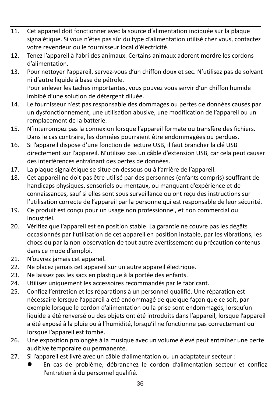- 11. Cet appareil doit fonctionner avec la source d'alimentation indiquée sur la plaque signalétique. Si vous n'êtes pas sûr du type d'alimentation utilisé chez vous, contactez votre revendeur ou le fournisseur local d'électricité.
- 12. Tenez l'appareil à l'abri des animaux. Certains animaux adorent mordre les cordons d'alimentation.
- 13. Pour nettoyer l'appareil, servez-vous d'un chiffon doux et sec. N'utilisez pas de solvant ni d'autre liquide à base de pétrole. Pour enlever les taches importantes, vous pouvez vous servir d'un chiffon humide imbibé d'une solution de détergent diluée.
- 14. Le fournisseur n'est pas responsable des dommages ou pertes de données causés par un dysfonctionnement, une utilisation abusive, une modification de l'appareil ou un remplacement de la batterie.
- 15. N'interrompez pas la connexion lorsque l'appareil formate ou transfère des fichiers. Dans le cas contraire, les données pourraient être endommagées ou perdues.
- 16. Si l'appareil dispose d'une fonction de lecture USB, il faut brancher la clé USB directement sur l'appareil. N'utilisez pas un câble d'extension USB, car cela peut causer des interférences entraînant des pertes de données.
- 17. La plaque signalétique se situe en dessous ou à l'arrière de l'appareil.
- 18. Cet appareil ne doit pas être utilisé par des personnes (enfants compris) souffrant de handicaps physiques, sensoriels ou mentaux, ou manquant d'expérience et de connaissances, sauf si elles sont sous surveillance ou ont reçu des instructions sur l'utilisation correcte de l'appareil par la personne qui est responsable de leur sécurité.
- 19. Ce produit est conçu pour un usage non professionnel, et non commercial ou industriel.
- 20. Vérifiez que l'appareil est en position stable. La garantie ne couvre pas les dégâts occasionnés par l'utilisation de cet appareil en position instable, par les vibrations, les chocs ou par la non-observation de tout autre avertissement ou précaution contenus dans ce mode d'emploi.
- 21. N'ouvrez jamais cet appareil.
- 22. Ne placez jamais cet appareil sur un autre appareil électrique.
- 23. Ne laissez pas les sacs en plastique à la portée des enfants.
- 24. Utilisez uniquement les accessoires recommandés par le fabricant.
- 25. Confiez l'entretien et les réparations à un personnel qualifié. Une réparation est nécessaire lorsque l'appareil a été endommagé de quelque façon que ce soit, par exemple lorsque le cordon d'alimentation ou la prise sont endommagés, lorsqu'un liquide a été renversé ou des objets ont été introduits dans l'appareil, lorsque l'appareil a été exposé à la pluie ou à l'humidité, lorsqu'il ne fonctionne pas correctement ou lorsque l'appareil est tombé.
- 26. Une exposition prolongée à la musique avec un volume élevé peut entraîner une perte auditive temporaire ou permanente.
- 27. Si l'appareil est livré avec un câble d'alimentation ou un adaptateur secteur :
	- ⚫ En cas de problème, débranchez le cordon d'alimentation secteur et confiez l'entretien à du personnel qualifié.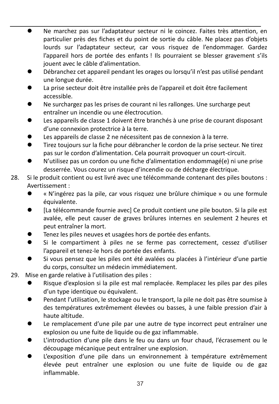- ⚫ Ne marchez pas sur l'adaptateur secteur ni le coincez. Faites très attention, en particulier près des fiches et du point de sortie du câble. Ne placez pas d'objets lourds sur l'adaptateur secteur, car vous risquez de l'endommager. Gardez l'appareil hors de portée des enfants ! Ils pourraient se blesser gravement s'ils jouent avec le câble d'alimentation.
- ⚫ Débranchez cet appareil pendant les orages ou lorsqu'il n'est pas utilisé pendant une longue durée.
- La prise secteur doit être installée près de l'appareil et doit être facilement accessible.
- ⚫ Ne surchargez pas les prises de courant ni les rallonges. Une surcharge peut entraîner un incendie ou une électrocution.
- ⚫ Les appareils de classe 1 doivent être branchés à une prise de courant disposant d'une connexion protectrice à la terre.
- Les appareils de classe 2 ne nécessitent pas de connexion à la terre.
- Tirez toujours sur la fiche pour débrancher le cordon de la prise secteur. Ne tirez pas sur le cordon d'alimentation. Cela pourrait provoquer un court-circuit.
- ⚫ N'utilisez pas un cordon ou une fiche d'alimentation endommagé(e) ni une prise desserrée. Vous courez un risque d'incendie ou de décharge électrique.
- 28. Si le produit contient ou est livré avec une télécommande contenant des piles boutons : Avertissement :
	- ⚫ « N'ingérez pas la pile, car vous risquez une brûlure chimique » ou une formule équivalente.
	- ⚫ [La télécommande fournie avec] Ce produit contient une pile bouton. Si la pile est avalée, elle peut causer de graves brûlures internes en seulement 2 heures et peut entraîner la mort.
	- ⚫ Tenez les piles neuves et usagées hors de portée des enfants.
	- ⚫ Si le compartiment à piles ne se ferme pas correctement, cessez d'utiliser l'appareil et tenez-le hors de portée des enfants.
	- ⚫ Si vous pensez que les piles ont été avalées ou placées à l'intérieur d'une partie du corps, consultez un médecin immédiatement.
- 29. Mise en garde relative à l'utilisation des piles :
	- ⚫ Risque d'explosion si la pile est mal remplacée. Remplacez les piles par des piles d'un type identique ou équivalent.
	- Pendant l'utilisation, le stockage ou le transport, la pile ne doit pas être soumise à des températures extrêmement élevées ou basses, à une faible pression d'air à haute altitude.
	- ⚫ Le remplacement d'une pile par une autre de type incorrect peut entraîner une explosion ou une fuite de liquide ou de gaz inflammable.
	- ⚫ L'introduction d'une pile dans le feu ou dans un four chaud, l'écrasement ou le découpage mécanique peut entraîner une explosion.
	- ⚫ L'exposition d'une pile dans un environnement à température extrêmement élevée peut entraîner une explosion ou une fuite de liquide ou de gaz inflammable.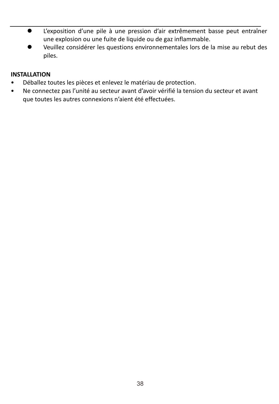- ⚫ L'exposition d'une pile à une pression d'air extrêmement basse peut entraîner une explosion ou une fuite de liquide ou de gaz inflammable.
- ⚫ Veuillez considérer les questions environnementales lors de la mise au rebut des piles.

### **INSTALLATION**

- Déballez toutes les pièces et enlevez le matériau de protection.
- Ne connectez pas l'unité au secteur avant d'avoir vérifié la tension du secteur et avant que toutes les autres connexions n'aient été effectuées.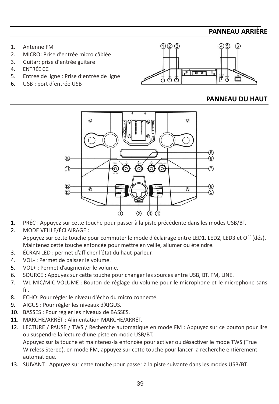### **PANNEAU ARRIÈRE**

- 1. Antenne FM
- 2. MICRO: Prise d'entrée micro câblée
- 3. Guitar: prise d'entrée guitare
- 4. ENTRÉE CC
- 5. Entrée de ligne : Prise d'entrée de ligne
- 6. USB : port d'entrée USB



### **PANNEAU DU HAUT**



- 1. PRÉC : Appuyez sur cette touche pour passer à la piste précédente dans les modes USB/BT.
- 2. MODE VEILLE/ÉCLAIRAGE : Appuyez sur cette touche pour commuter le mode d'éclairage entre LED1, LED2, LED3 et Off (dés). Maintenez cette touche enfoncée pour mettre en veille, allumer ou éteindre.
- 3. ÉCRAN LED : permet d'afficher l'état du haut-parleur.
- 4. VOL- : Permet de baisser le volume.
- 5. VOL+ : Permet d'augmenter le volume.
- 6. SOURCE : Appuyez sur cette touche pour changer les sources entre USB, BT, FM, LINE.
- 7. WL MIC/MIC VOLUME : Bouton de réglage du volume pour le microphone et le microphone sans fil.
- 8. ÉCHO: Pour régler le niveau d'écho du micro connecté.
- 9. AIGUS : Pour régler les niveaux d'AIGUS.
- 10. BASSES : Pour régler les niveaux de BASSES.
- 11. MARCHE/ARRÊT : Alimentation MARCHE/ARRÊT.
- 12. LECTURE / PAUSE / TWS / Recherche automatique en mode FM : Appuyez sur ce bouton pour lire ou suspendre la lecture d'une piste en mode USB/BT. Appuyez sur la touche et maintenez-la enfoncée pour activer ou désactiver le mode TWS (True

Wireless Stereo). en mode FM, appuyez sur cette touche pour lancer la recherche entièrement automatique.

13. SUIVANT : Appuyez sur cette touche pour passer à la piste suivante dans les modes USB/BT.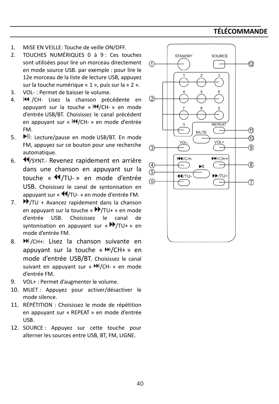### **TÉLÉCOMMANDE**

- 1. MISE EN VEILLE: Touche de veille ON/OFF.
- 2. TOUCHES NUMÉRIQUES 0 à 9 : Ces touches sont utilisées pour lire un morceau directement en mode source USB. par exemple : pour lire le 12e morceau de la liste de lecture USB, appuyez sur la touche numérique « 1 », puis sur la « 2 ».
- 3. VOL- : Permet de baisser le volume.
- 4. **III** /CH- Lisez la chanson précédente en appuyant sur la touche «  $M/CH-$  » en mode d'entrée USB/BT. Choisissez le canal précédent en appuyant sur « II/CH- » en mode d'entrée FM.
- 5. Il: Lecture/pause en mode USB/BT. En mode FM, appuyez sur ce bouton pour une recherche automatique.
- 6. **4**/SYNT.- Revenez rapidement en arrière dans une chanson en appuyant sur la touche « <a>
<a>
<a>
</a>
</a>
<a>
<a>
touche <a>
<a>
<a>
<a>
touche <a>
<a>
</a>
</a>
</a>
touche <a>
<a>
<a>
touche <a>
<a>
<a>
touche <<a>
<a>
<a>
touche <a>
<a>
</a>
touche <a>
<a>
touche <a>
touche <a>
touche <a>
touc USB. Choisissez le canal de syntonisation en appuyant sur « $\blacklozenge$ TU- » en mode d'entrée FM.
- 7.  $\blacktriangleright$ /TU + Avancez rapidement dans la chanson en appuyant sur la touche « $\Psi$ /TU+ » en mode d'entrée USB. Choisissez le canal de syntonisation en appuyant sur « $P/TU+$  » en mode d'entrée FM.
- 8. /CH+: Lisez la chanson suivante en appuyant sur la touche « $M/CH+$  » en mode d'entrée USB/BT. Choisissez le canal suivant en appuyant sur « II/CH- » en mode d'entrée FM.
- 9. VOL+ : Permet d'augmenter le volume.
- 10. MUET : Appuyez pour activer/désactiver le mode silence.
- 11. RÉPÉTITION : Choisissez le mode de répétition en appuyant sur « REPEAT » en mode d'entrée USB.
- 12. SOURCE : Appuyez sur cette touche pour alterner les sources entre USB, BT, FM, LIGNE.

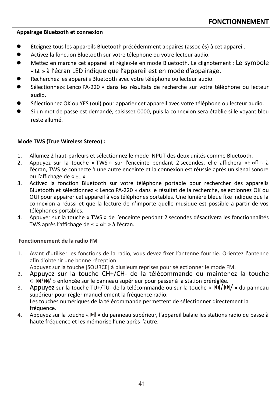### **Appairage Bluetooth et connexion**

- ⚫ Éteignez tous les appareils Bluetooth précédemment appairés (associés) à cet appareil.
- ⚫ Activez la fonction Bluetooth sur votre téléphone ou votre lecteur audio.
- Mettez en marche cet appareil et réglez-le en mode Bluetooth. Le clignotement : Le symbole « » à l'écran LED indique que l'appareil est en mode d'appairage.
- ⚫ Recherchez les appareils Bluetooth avec votre téléphone ou lecteur audio.
- Sélectionnez« Lenco PA-220 » dans les résultats de recherche sur votre téléphone ou lecteur audio.
- Sélectionnez OK ou YES (oui) pour apparier cet appareil avec votre téléphone ou lecteur audio.
- ⚫ Si un mot de passe est demandé, saisissez 0000, puis la connexion sera établie si le voyant bleu reste allumé.

### **Mode TWS (True Wireless Stereo) :**

- 1. Allumez 2 haut-parleurs et sélectionnez le mode INPUT des deux unités comme Bluetooth.
- 2. Appuyez sur la touche « TWS » sur l'enceinte pendant 2 secondes, elle affichera « $k$  of  $\alpha$  à l'écran, TWS se connecte à une autre enceinte et la connexion est réussie après un signal sonore ou l'affichage de « bL »
- 3. Activez la fonction Bluetooth sur votre téléphone portable pour rechercher des appareils Bluetooth et sélectionnez « Lenco PA-220 » dans le résultat de la recherche, sélectionnez OK ou OUI pour appairer cet appareil à vos téléphones portables. Une lumière bleue fixe indique que la connexion a réussi et que la lecture de n'importe quelle musique est possible à partir de vos téléphones portables.
- 4. Appuyer sur la touche « TWS » de l'enceinte pendant 2 secondes désactivera les fonctionnalités TWS après l'affichage de « » à l'écran.

### **Fonctionnement de la radio FM**

- 1. Avant d'utiliser les fonctions de la radio, vous devez fixer l'antenne fournie. Orientez l'antenne afin d'obtenir une bonne réception. Appuyez sur la touche [SOURCE] à plusieurs reprises pour sélectionner le mode FM.
- 2. Appuyez sur la touche CH+/CH- de la télécommande ou maintenez la touche «  $\frac{1}{4}$  +  $\frac{1}{2}$  +  $\frac{1}{2}$  enfoncée sur le panneau supérieur pour passer à la station préréglée.
- 3. Appuyez sur la touche TU+/TU- de la télécommande ou sur la touche «  $\frac{1}{4}$   $\frac{1}{8}$  du panneau supérieur pour régler manuellement la fréquence radio. Les touches numériques de la télécommande permettent de sélectionner directement la fréquence.
- 4. Appuyez sur la touche « III » du panneau supérieur, l'appareil balaie les stations radio de basse à haute fréquence et les mémorise l'une après l'autre.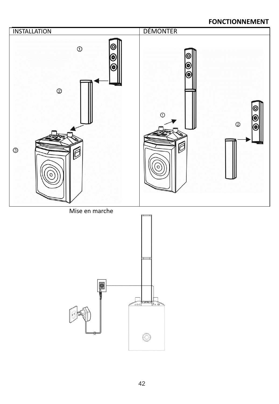### **FONCTIONNEMENT**

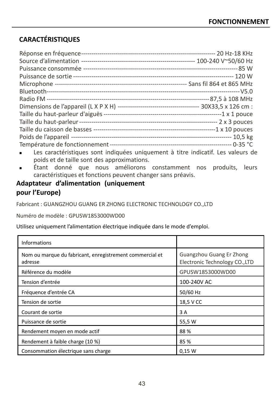### **CARACTÉRISTIQUES**

| • Les caractéristiques sont indiquées uniquement à titre indicatif. Les valeurs de |  |
|------------------------------------------------------------------------------------|--|

- $\,$ s caractéristiques sont indiquées uniquement à titre indicatif. Les valeurs de poids et de taille sont des approximations.
- <sup>◼</sup> Étant donné que nous améliorons constamment nos produits, leurs caractéristiques et fonctions peuvent changer sans préavis.

### **Adaptateur d'alimentation (uniquement pour l'Europe)**

Fabricant : GUANGZHOU GUANG ER ZHONG ELECTRONIC TECHNOLOGY CO.,LTD

Numéro de modèle : GPUSW1853000WD00

Utilisez uniquement l'alimentation électrique indiquée dans le mode d'emploi.

| <b>Informations</b>                                                 |                                                            |
|---------------------------------------------------------------------|------------------------------------------------------------|
| Nom ou marque du fabricant, enregistrement commercial et<br>adresse | Guangzhou Guang Er Zhong<br>Electronic Technology CO., LTD |
| Référence du modèle                                                 | GPUSW1853000WD00                                           |
| Tension d'entrée                                                    | 100-240V AC                                                |
| Fréquence d'entrée CA                                               | 50/60 Hz                                                   |
| Tension de sortie                                                   | 18,5 V CC                                                  |
| Courant de sortie                                                   | 3 A                                                        |
| Puissance de sortie                                                 | 55,5 W                                                     |
| Rendement moyen en mode actif                                       | 88%                                                        |
| Rendement à faible charge (10 %)                                    | 85 %                                                       |
| Consommation électrique sans charge                                 | 0.15 W                                                     |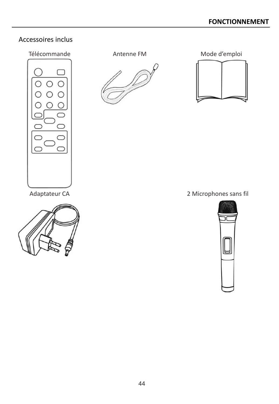### Accessoires inclus

# Télécommande **Antenne FM** Mode d'emploi





Adaptateur CA 2 Microphones sans fil

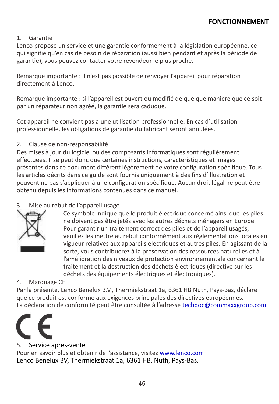### 1. Garantie

Lenco propose un service et une garantie conformément à la législation européenne, ce qui signifie qu'en cas de besoin de réparation (aussi bien pendant et après la période de garantie), vous pouvez contacter votre revendeur le plus proche.

Remarque importante : il n'est pas possible de renvoyer l'appareil pour réparation directement à Lenco.

Remarque importante : si l'appareil est ouvert ou modifié de quelque manière que ce soit par un réparateur non agréé, la garantie sera caduque.

Cet appareil ne convient pas à une utilisation professionnelle. En cas d'utilisation professionnelle, les obligations de garantie du fabricant seront annulées.

### 2. Clause de non-responsabilité

Des mises à jour du logiciel ou des composants informatiques sont régulièrement effectuées. Il se peut donc que certaines instructions, caractéristiques et images présentes dans ce document diffèrent légèrement de votre configuration spécifique. Tous les articles décrits dans ce guide sont fournis uniquement à des fins d'illustration et peuvent ne pas s'appliquer à une configuration spécifique. Aucun droit légal ne peut être obtenu depuis les informations contenues dans ce manuel.

### 3. Mise au rebut de l'appareil usagé



Ce symbole indique que le produit électrique concerné ainsi que les piles ne doivent pas être jetés avec les autres déchets ménagers en Europe. Pour garantir un traitement correct des piles et de l'appareil usagés, veuillez les mettre au rebut conformément aux réglementations locales en vigueur relatives aux appareils électriques et autres piles. En agissant de la sorte, vous contribuerez à la préservation des ressources naturelles et à l'amélioration des niveaux de protection environnementale concernant le traitement et la destruction des déchets électriques (directive sur les déchets des équipements électriques et électroniques).

### 4. Marquage CE

Par la présente, Lenco Benelux B.V., Thermiekstraat 1a, 6361 HB Nuth, Pays-Bas, déclare que ce produit est conforme aux exigences principales des directives européennes. La déclaration de conformité peut être consultée à l'adresse [techdoc@commaxxgroup.com](mailto:techdoc@commaxxgroup.com)



### 5. Service après-vente

Pour en savoir plus et obtenir de l'assistance, visitez [www.lenco.com](http://www.lenco.com/) Lenco Benelux BV, Thermiekstraat 1a, 6361 HB, Nuth, Pays-Bas.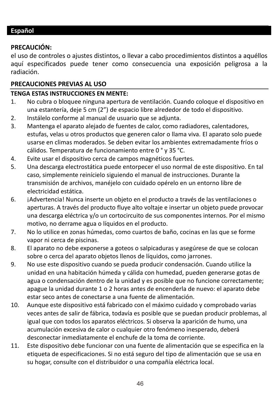### <span id="page-45-0"></span>**PRECAUCIÓN:**

el uso de controles o ajustes distintos, o llevar a cabo procedimientos distintos a aquéllos aquí especificados puede tener como consecuencia una exposición peligrosa a la radiación.

### **PRECAUCIONES PREVIAS AL USO**

### **TENGA ESTAS INSTRUCCIONES EN MENTE:**

- 1. No cubra o bloquee ninguna apertura de ventilación. Cuando coloque el dispositivo en una estantería, deje 5 cm (2") de espacio libre alrededor de todo el dispositivo.
- 2. Instálelo conforme al manual de usuario que se adjunta.
- 3. Mantenga el aparato alejado de fuentes de calor, como radiadores, calentadores, estufas, velas u otros productos que generen calor o llama viva. El aparato solo puede usarse en climas moderados. Se deben evitar los ambientes extremadamente fríos o cálidos. Temperatura de funcionamiento entre 0 ° y 35 °C.
- 4. Evite usar el dispositivo cerca de campos magnéticos fuertes.
- 5. Una descarga electrostática puede entorpecer el uso normal de este dispositivo. En tal caso, simplemente reinícielo siguiendo el manual de instrucciones. Durante la transmisión de archivos, manéjelo con cuidado opérelo en un entorno libre de electricidad estática.
- 6. ¡Advertencia! Nunca inserte un objeto en el producto a través de las ventilaciones o aperturas. A través del producto fluye alto voltaje e insertar un objeto puede provocar una descarga eléctrica y/o un cortocircuito de sus componentes internos. Por el mismo motivo, no derrame agua o líquidos en el producto.
- 7. No lo utilice en zonas húmedas, como cuartos de baño, cocinas en las que se forme vapor ni cerca de piscinas.
- 8. El aparato no debe exponerse a goteos o salpicaduras y asegúrese de que se colocan sobre o cerca del aparato objetos llenos de líquidos, como jarrones.
- 9. No use este dispositivo cuando se pueda producir condensación. Cuando utilice la unidad en una habitación húmeda y cálida con humedad, pueden generarse gotas de agua o condensación dentro de la unidad y es posible que no funcione correctamente; apague la unidad durante 1 o 2 horas antes de encenderla de nuevo: el aparato debe estar seco antes de conectarse a una fuente de alimentación.
- 10. Aunque este dispositivo está fabricado con el máximo cuidado y comprobado varias veces antes de salir de fábrica, todavía es posible que se puedan producir problemas, al igual que con todos los aparatos eléctricos. Si observa la aparición de humo, una acumulación excesiva de calor o cualquier otro fenómeno inesperado, deberá desconectar inmediatamente el enchufe de la toma de corriente.
- 11. Este dispositivo debe funcionar con una fuente de alimentación que se especifica en la etiqueta de especificaciones. Si no está seguro del tipo de alimentación que se usa en su hogar, consulte con el distribuidor o una compañía eléctrica local.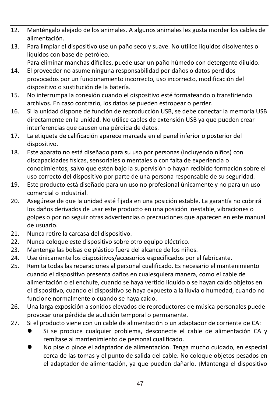- 12. Manténgalo alejado de los animales. A algunos animales les gusta morder los cables de alimentación.
- 13. Para limpiar el dispositivo use un paño seco y suave. No utilice líquidos disolventes o líquidos con base de petróleo.

Para eliminar manchas difíciles, puede usar un paño húmedo con detergente diluido.

- 14. El proveedor no asume ninguna responsabilidad por daños o datos perdidos provocados por un funcionamiento incorrecto, uso incorrecto, modificación del dispositivo o sustitución de la batería.
- 15. No interrumpa la conexión cuando el dispositivo esté formateando o transfiriendo archivos. En caso contrario, los datos se pueden estropear o perder.
- 16. Si la unidad dispone de función de reproducción USB, se debe conectar la memoria USB directamente en la unidad. No utilice cables de extensión USB ya que pueden crear interferencias que causen una pérdida de datos.
- 17. La etiqueta de calificación aparece marcada en el panel inferior o posterior del dispositivo.
- 18. Este aparato no está diseñado para su uso por personas (incluyendo niños) con discapacidades físicas, sensoriales o mentales o con falta de experiencia o conocimientos, salvo que estén bajo la supervisión o hayan recibido formación sobre el uso correcto del dispositivo por parte de una persona responsable de su seguridad.
- 19. Este producto está diseñado para un uso no profesional únicamente y no para un uso comercial o industrial.
- 20. Asegúrese de que la unidad esté fijada en una posición estable. La garantía no cubrirá los daños derivados de usar este producto en una posición inestable, vibraciones o golpes o por no seguir otras advertencias o precauciones que aparecen en este manual de usuario.
- 21. Nunca retire la carcasa del dispositivo.
- 22. Nunca coloque este dispositivo sobre otro equipo eléctrico.
- 23. Mantenga las bolsas de plástico fuera del alcance de los niños.
- 24. Use únicamente los dispositivos/accesorios especificados por el fabricante.
- 25. Remita todas las reparaciones al personal cualificado. Es necesario el mantenimiento cuando el dispositivo presenta daños en cualesquiera manera, como el cable de alimentación o el enchufe, cuando se haya vertido líquido o se hayan caído objetos en el dispositivo, cuando el dispositivo se haya expuesto a la lluvia o humedad, cuando no funcione normalmente o cuando se haya caído.
- 26. Una larga exposición a sonidos elevados de reproductores de música personales puede provocar una pérdida de audición temporal o permanente.
- 27. Si el producto viene con un cable de alimentación o un adaptador de corriente de CA:
	- Si se produce cualquier problema, desconecte el cable de alimentación CA y remítase al mantenimiento de personal cualificado.
	- ⚫ No pise o pince el adaptador de alimentación. Tenga mucho cuidado, en especial cerca de las tomas y el punto de salida del cable. No coloque objetos pesados en el adaptador de alimentación, ya que pueden dañarlo. ¡Mantenga el dispositivo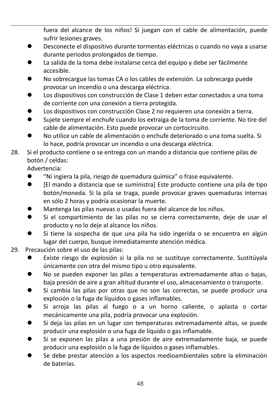fuera del alcance de los niños! Si juegan con el cable de alimentación, puede sufrir lesiones graves.

- ⚫ Desconecte el dispositivo durante tormentas eléctricas o cuando no vaya a usarse durante periodos prolongados de tiempo.
- La salida de la toma debe instalarse cerca del equipo y debe ser fácilmente accesible.
- No sobrecargue las tomas CA o los cables de extensión. La sobrecarga puede provocar un incendio o una descarga eléctrica.
- ⚫ Los dispositivos con construcción de Clase 1 deben estar conectados a una toma de corriente con una conexión a tierra protegida.
- Los dispositivos con construcción Clase 2 no requieren una conexión a tierra.
- ⚫ Sujete siempre el enchufe cuando los extraiga de la toma de corriente. No tire del cable de alimentación. Esto puede provocar un cortocircuito.
- ⚫ No utilice un cable de alimentación o enchufe deteriorado o una toma suelta. Si lo hace, podría provocar un incendio o una descarga eléctrica.
- 28. Si el producto contiene o se entrega con un mando a distancia que contiene pilas de botón / celdas:

Advertencia:

- ⚫ "Ni ingiera la pila, riesgo de quemadura química" o frase equivalente.
- ⚫ [El mando a distancia que se suministra] Este producto contiene una pila de tipo botón/moneda. Si la pila se traga, puede provocar graves quemaduras internas en sólo 2 horas y podría ocasionar la muerte.
- ⚫ Mantenga las pilas nuevas o usadas fuera del alcance de los niños.
- ⚫ Si el compartimiento de las pilas no se cierra correctamente, deje de usar el producto y no lo deje al alcance los niños.
- Si tiene la sospecha de que una pila ha sido ingerida o se encuentra en algún lugar del cuerpo, busque inmediatamente atención médica.
- 29. Precaución sobre el uso de las pilas:
	- ⚫ Existe riesgo de explosión si la pila no se sustituye correctamente. Sustitúyala únicamente con otra del mismo tipo u otro equivalente.
	- ⚫ No se pueden exponer las pilas a temperaturas extremadamente altas o bajas, baja presión de aire a gran altitud durante el uso, almacenamiento o transporte.
	- ⚫ Si cambia las pilas por otras que no son las correctas, se puede producir una explosión o la fuga de líquidos o gases inflamables.
	- ⚫ Si arroja las pilas al fuego o a un horno caliente, o aplasta o cortar mecánicamente una pila, podría provocar una explosión.
	- Si deja las pilas en un lugar con temperaturas extremadamente altas, se puede producir una explosión o una fuga de líquido o gas inflamable.
	- ⚫ Si se exponen las pilas a una presión de aire extremadamente baja, se puede producir una explosión o la fuga de líquidos o gases inflamables.
	- ⚫ Se debe prestar atención a los aspectos medioambientales sobre la eliminación de baterías.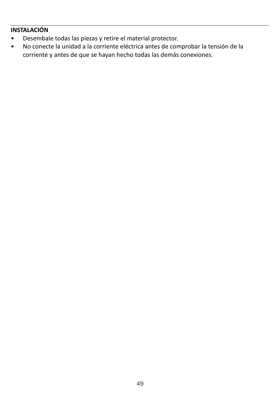### **INSTALACIÓN**

- Desembale todas las piezas y retire el material protector.
- No conecte la unidad a la corriente eléctrica antes de comprobar la tensión de la corriente y antes de que se hayan hecho todas las demás conexiones.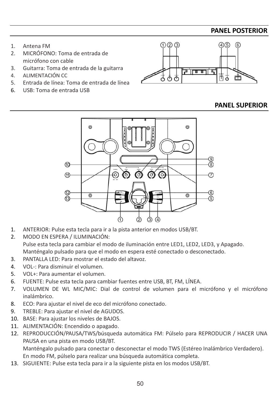### **PANEL POSTERIOR**

- 1. Antena FM
- 2. MICRÓFONO: Toma de entrada de micrófono con cable
- 3. Guitarra: Toma de entrada de la guitarra
- 4. ALIMENTACIÓN CC
- 5. Entrada de línea: Toma de entrada de línea
- 6. USB: Toma de entrada USB



### **PANEL SUPERIOR**



- 1. ANTERIOR: Pulse esta tecla para ir a la pista anterior en modos USB/BT.
- 2. MODO EN ESPERA / ILUMINACIÓN: Pulse esta tecla para cambiar el modo de iluminación entre LED1, LED2, LED3, y Apagado. Manténgalo pulsado para que el modo en espera esté conectado o desconectado.
- 3. PANTALLA LED: Para mostrar el estado del altavoz.
- 4. VOL-: Para disminuir el volumen.
- 5. VOL+: Para aumentar el volumen.
- 6. FUENTE: Pulse esta tecla para cambiar fuentes entre USB, BT, FM, LÍNEA.
- 7. VOLUMEN DE WL MIC/MIC: Dial de control de volumen para el micrófono y el micrófono inalámbrico.
- 8. ECO: Para ajustar el nivel de eco del micrófono conectado.
- 9. TREBLE: Para ajustar el nivel de AGUDOS.
- 10. BASE: Para ajustar los niveles de BAJOS.
- 11. ALIMENTACIÓN: Encendido o apagado.
- 12. REPRODUCCIÓN/PAUSA/TWS/búsqueda automática FM: Púlselo para REPRODUCIR / HACER UNA PAUSA en una pista en modo USB/BT.

Manténgalo pulsado para conectar o desconectar el modo TWS (Estéreo Inalámbrico Verdadero). En modo FM, púlselo para realizar una búsqueda automática completa.

13. SIGUIENTE: Pulse esta tecla para ir a la siguiente pista en los modos USB/BT.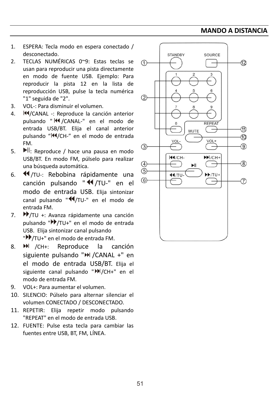### **MANDO A DISTANCIA**

- 1. ESPERA: Tecla modo en espera conectado / desconectado.
- 2. TECLAS NUMÉRICAS 0~9: Estas teclas se usan para reproducir una pista directamente en modo de fuente USB. Ejemplo: Para reproducir la pista 12 en la lista de reproducción USB, pulse la tecla numérica "1" seguida de "2".
- 3. VOL-: Para disminuir el volumen.
- 4. **H**/CANAL -: Reproduce la canción anterior pulsando " <a> <a> </a></a>(</a>CANAL-" en el modo de entrada USB/BT. Elija el canal anterior pulsando "II/CH-" en el modo de entrada FM.
- 5. Il: Reproduce / hace una pausa en modo USB/BT. En modo FM, púlselo para realizar una búsqueda automática.
- 6. 44/TU-: Rebobina rápidamente una canción pulsando " <</a> </a> /TU-" en el modo de entrada USB. Elija sintonizar canal pulsando "44/TU-" en el modo de entrada FM.
- 7. **P**/TU +: Avanza rápidamente una canción pulsando " /TU+" en el modo de entrada USB. Elija sintonizar canal pulsando "<sup>•</sup> /TU+" en el modo de entrada FM.
- 8. **M** /CH+: Reproduce la canción siguiente pulsando ">>> / CANAL +" en el modo de entrada USB/BT. Elija el siguiente canal pulsando "<sup>N</sup>/CH+" en el modo de entrada FM.
- 9. VOL+: Para aumentar el volumen.
- 10. SILENCIO: Púlselo para alternar silenciar el volumen CONECTADO / DESCONECTADO.
- 11. REPETIR: Elija repetir modo pulsando "REPEAT" en el modo de entrada USB.
- 12. FUENTE: Pulse esta tecla para cambiar las fuentes entre USB, BT, FM, LÍNEA.

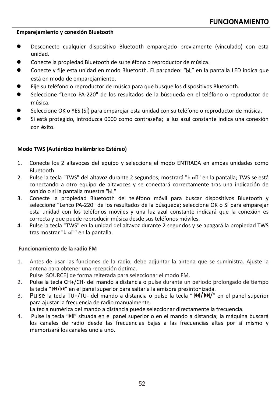### **Emparejamiento y conexión Bluetooth**

- ⚫ Desconecte cualquier dispositivo Bluetooth emparejado previamente (vinculado) con esta unidad.
- ⚫ Conecte la propiedad Bluetooth de su teléfono o reproductor de música.
- ⚫ Conecte y fije esta unidad en modo Bluetooth. El parpadeo: " " en la pantalla LED indica que está en modo de emparejamiento.
- ⚫ Fije su teléfono o reproductor de música para que busque los dispositivos Bluetooth.
- ⚫ Seleccione "Lenco PA-220" de los resultados de la búsqueda en el teléfono o reproductor de música.
- Seleccione OK o YES (SÍ) para emparejar esta unidad con su teléfono o reproductor de música.
- Si está protegido, introduzca 0000 como contraseña; la luz azul constante indica una conexión con éxito.

### **Modo TWS (Auténtico Inalámbrico Estéreo)**

- 1. Conecte los 2 altavoces del equipo y seleccione el modo ENTRADA en ambas unidades como Bluetooth
- 2. Pulse la tecla "TWS" del altavoz durante 2 segundos; mostrará "  $\epsilon$  oft" en la pantalla; TWS se está conectando a otro equipo de altavoces y se conectará correctamente tras una indicación de sonido o si la pantalla muestra "bL"
- 3. Conecte la propiedad Bluetooth del teléfono móvil para buscar dispositivos Bluetooth y seleccione "Lenco PA-220" de los resultados de la búsqueda; seleccione OK o SÍ para emparejar esta unidad con los teléfonos móviles y una luz azul constante indicará que la conexión es correcta y que puede reproducir música desde sus teléfonos móviles.
- 4. Pulse la tecla "TWS" en la unidad del altavoz durante 2 segundos y se apagará la propiedad TWS tras mostrar " e oF" en la pantalla.

### **Funcionamiento de la radio FM**

1. Antes de usar las funciones de la radio, debe adjuntar la antena que se suministra. Ajuste la antena para obtener una recepción óptima.

Pulse [SOURCE] de forma reiterada para seleccionar el modo FM.

- 2. Pulse la tecla CH+/CH- del mando a distancia o pulse durante un periodo prolongado de tiempo la tecla "  $M/N$ " en el panel superior para saltar a la emisora presintonizada.
- 3. Pulse la tecla TU+/TU- del mando a distancia o pulse la tecla " /" en el panel superior para ajustar la frecuencia de radio manualmente.

La tecla numérica del mando a distancia puede seleccionar directamente la frecuencia.

4. Pulse la tecla "Il" situada en el panel superior o en el mando a distancia; la máquina buscará los canales de radio desde las frecuencias bajas a las frecuencias altas por sí mismo y memorizará los canales uno a uno.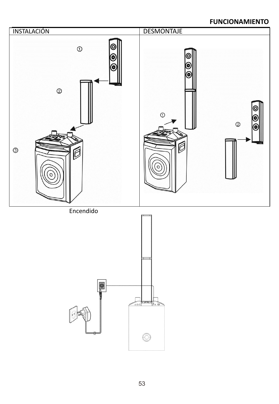### **FUNCIONAMIENTO**

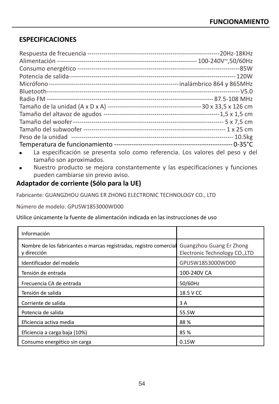### **ESPECIFICACIONES**

| La especificación se presenta solo como referencia. Los valores del peso y del |
|--------------------------------------------------------------------------------|
|                                                                                |

tamaño son aproximados. ■ Nuestro producto se mejora constantemente y las especificaciones y funciones pueden cambiarse sin previo aviso.

### **Adaptador de corriente (Sólo para la UE)**

Fabricante: GUANGZHOU GUANG ER ZHONG ELECTRONIC TECHNOLOGY CO., LTD

Número de modelo: GPUSW1853000WD00

Utilice únicamente la fuente de alimentación indicada en las instrucciones de uso

| Información                                                                       |                                                            |
|-----------------------------------------------------------------------------------|------------------------------------------------------------|
| Nombre de los fabricantes o marcas registradas, registro comercial<br>y dirección | Guangzhou Guang Er Zhong<br>Electronic Technology CO., LTD |
| Identificador del modelo                                                          | GPUSW1853000WD00                                           |
| Tensión de entrada                                                                | 100-240V CA                                                |
| Frecuencia CA de entrada                                                          | 50/60Hz                                                    |
| Tensión de salida                                                                 | 18.5 V CC                                                  |
| Corriente de salida                                                               | 3 A                                                        |
| Potencia de salida                                                                | 55.5W                                                      |
| Eficiencia activa media                                                           | 88%                                                        |
| Eficiencia a carga baja (10%)                                                     | 85 %                                                       |
| Consumo energético sin carga                                                      | 0.15W                                                      |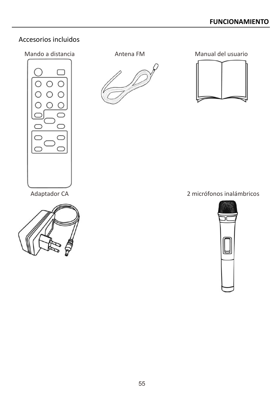### Accesorios incluidos



Mando a distancia Antena FM Manual del usuario



Adaptador CA 2 micrófonos inalámbricos